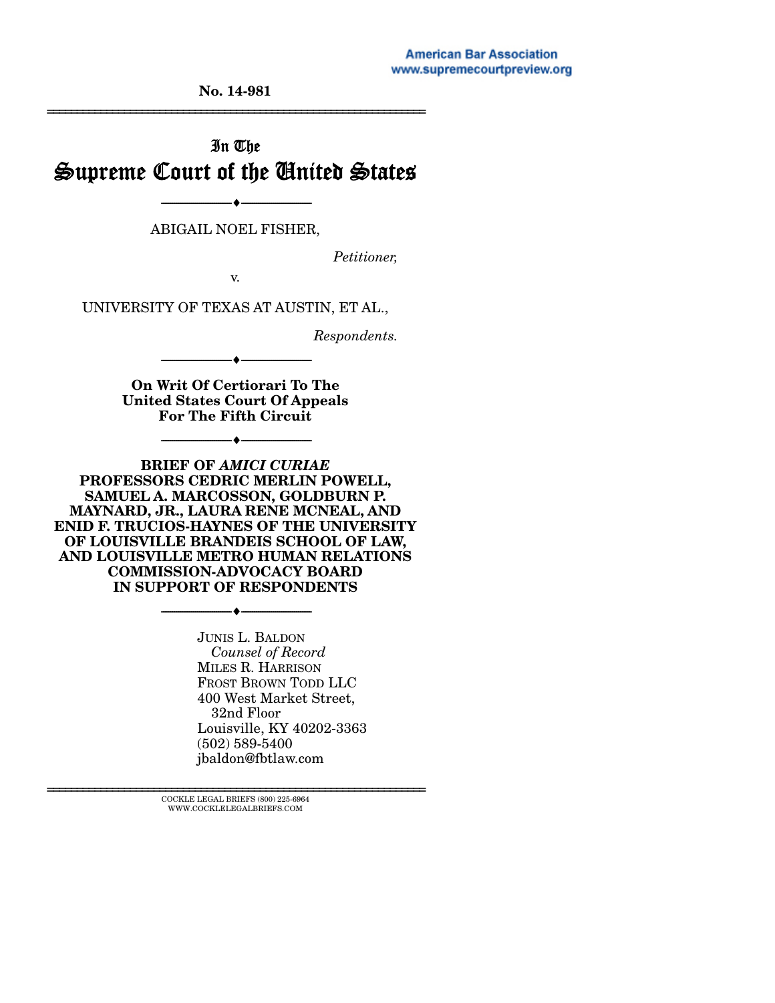#### **American Bar Association** www.supremecourtpreview.org

**No. 14-981**  ================================================================

# In The Supreme Court of the United States

--------------------------------- ---------------------------------

ABIGAIL NOEL FISHER,

*Petitioner,* 

v.

UNIVERSITY OF TEXAS AT AUSTIN, ET AL.,

*Respondents.* 

**On Writ Of Certiorari To The United States Court Of Appeals For The Fifth Circuit** 

--------------------------------- ---------------------------------

--------------------------------- ---------------------------------

**BRIEF OF** *AMICI CURIAE* **PROFESSORS CEDRIC MERLIN POWELL, SAMUEL A. MARCOSSON, GOLDBURN P. MAYNARD, JR., LAURA RENE MCNEAL, AND ENID F. TRUCIOS-HAYNES OF THE UNIVERSITY OF LOUISVILLE BRANDEIS SCHOOL OF LAW, AND LOUISVILLE METRO HUMAN RELATIONS COMMISSION-ADVOCACY BOARD IN SUPPORT OF RESPONDENTS** 

--------------------------------- ---------------------------------

JUNIS L. BALDON  *Counsel of Record*  MILES R. HARRISON FROST BROWN TODD LLC 400 West Market Street, 32nd Floor Louisville, KY 40202-3363 (502) 589-5400 jbaldon@fbtlaw.com

 $\textsc{COCKLE}$  LEGAL BRIEFS (800) 225-6964 WWW.COCKLELEGALBRIEFS.COM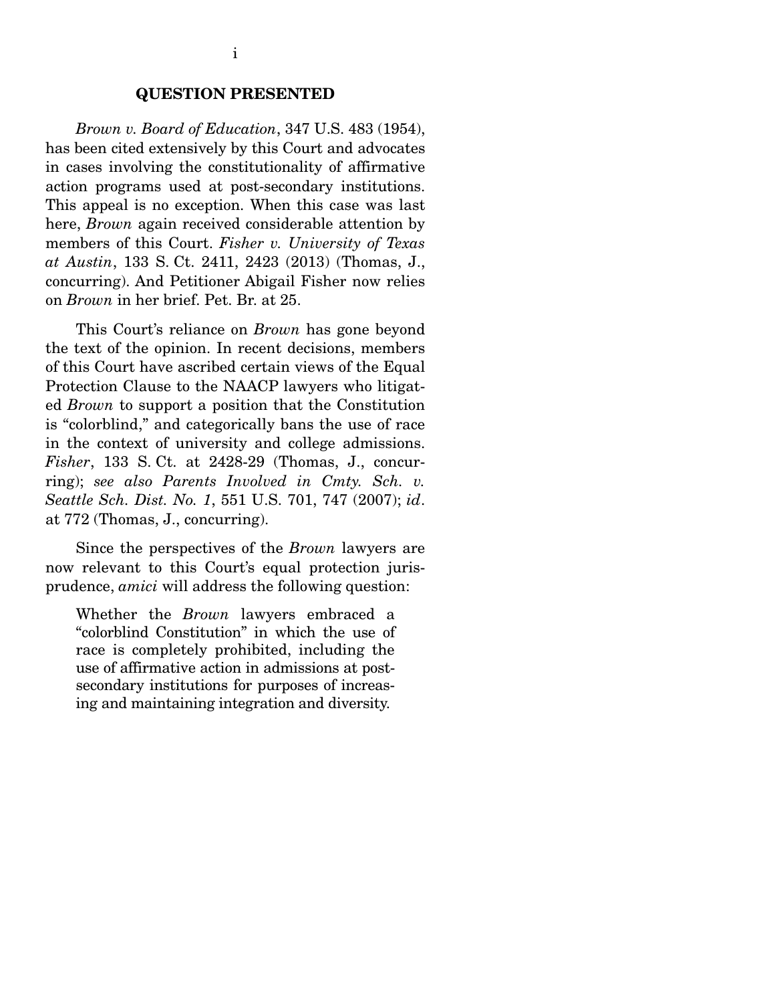#### **QUESTION PRESENTED**

 *Brown v. Board of Education*, 347 U.S. 483 (1954), has been cited extensively by this Court and advocates in cases involving the constitutionality of affirmative action programs used at post-secondary institutions. This appeal is no exception. When this case was last here, *Brown* again received considerable attention by members of this Court. *Fisher v. University of Texas at Austin*, 133 S. Ct. 2411, 2423 (2013) (Thomas, J., concurring). And Petitioner Abigail Fisher now relies on *Brown* in her brief. Pet. Br. at 25.

 This Court's reliance on *Brown* has gone beyond the text of the opinion. In recent decisions, members of this Court have ascribed certain views of the Equal Protection Clause to the NAACP lawyers who litigated *Brown* to support a position that the Constitution is "colorblind," and categorically bans the use of race in the context of university and college admissions. *Fisher*, 133 S. Ct. at 2428-29 (Thomas, J., concurring); *see also Parents Involved in Cmty. Sch. v. Seattle Sch. Dist. No. 1*, 551 U.S. 701, 747 (2007); *id*. at 772 (Thomas, J., concurring).

 Since the perspectives of the *Brown* lawyers are now relevant to this Court's equal protection jurisprudence, *amici* will address the following question:

Whether the *Brown* lawyers embraced a "colorblind Constitution" in which the use of race is completely prohibited, including the use of affirmative action in admissions at postsecondary institutions for purposes of increasing and maintaining integration and diversity.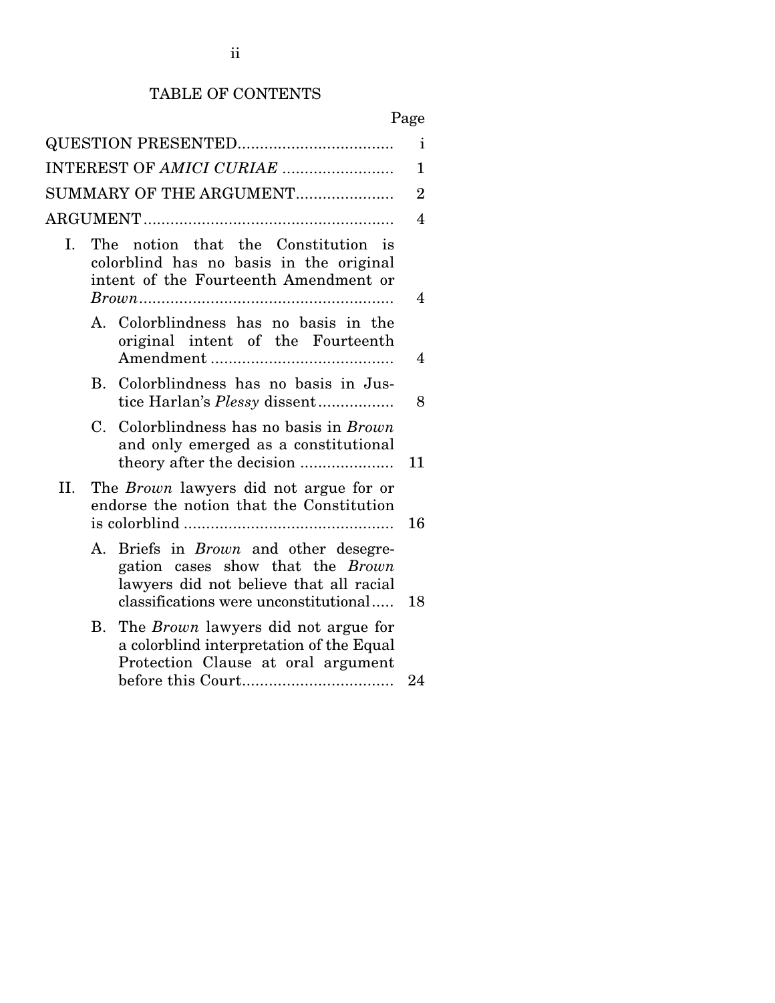# TABLE OF CONTENTS

| Page                                                                                                                                                                    |                |
|-------------------------------------------------------------------------------------------------------------------------------------------------------------------------|----------------|
|                                                                                                                                                                         | i              |
| INTEREST OF AMICI CURIAE                                                                                                                                                | $\mathbf{1}$   |
| SUMMARY OF THE ARGUMENT                                                                                                                                                 | $\overline{2}$ |
|                                                                                                                                                                         | $\overline{4}$ |
| The notion that the Constitution is<br>I.<br>colorblind has no basis in the original<br>intent of the Fourteenth Amendment or                                           | $\overline{4}$ |
| A. Colorblindness has no basis in the<br>original intent of the Fourteenth                                                                                              | $\overline{4}$ |
| Colorblindness has no basis in Jus-<br>B.<br>tice Harlan's Plessy dissent                                                                                               | 8              |
| Colorblindness has no basis in <i>Brown</i><br>$C_{\cdot}$<br>and only emerged as a constitutional                                                                      | 11             |
| II.<br>The <i>Brown</i> lawyers did not argue for or<br>endorse the notion that the Constitution                                                                        | 16             |
| Briefs in <i>Brown</i> and other desegre-<br>А.<br>gation cases show that the Brown<br>lawyers did not believe that all racial<br>classifications were unconstitutional | 18             |
| The <i>Brown</i> lawyers did not argue for<br>В.<br>a colorblind interpretation of the Equal<br>Protection Clause at oral argument                                      |                |
|                                                                                                                                                                         | 24             |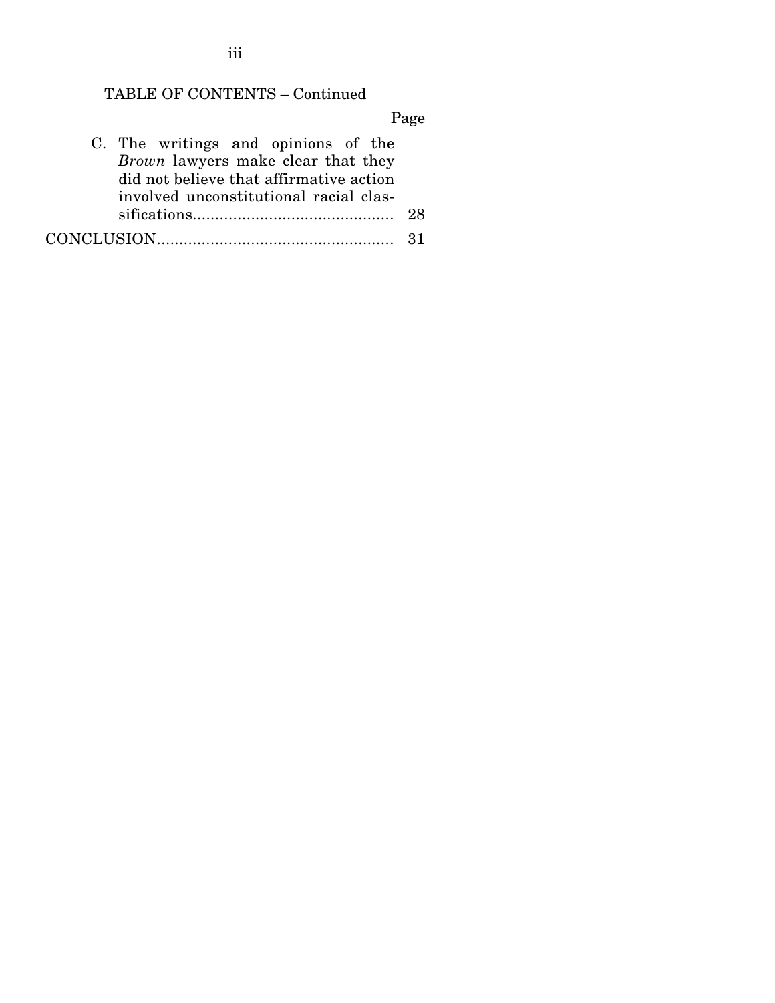# TABLE OF CONTENTS – Continued

Page

| C. The writings and opinions of the     |  |
|-----------------------------------------|--|
| Brown lawyers make clear that they      |  |
| did not believe that affirmative action |  |
| involved unconstitutional racial clas-  |  |
|                                         |  |
|                                         |  |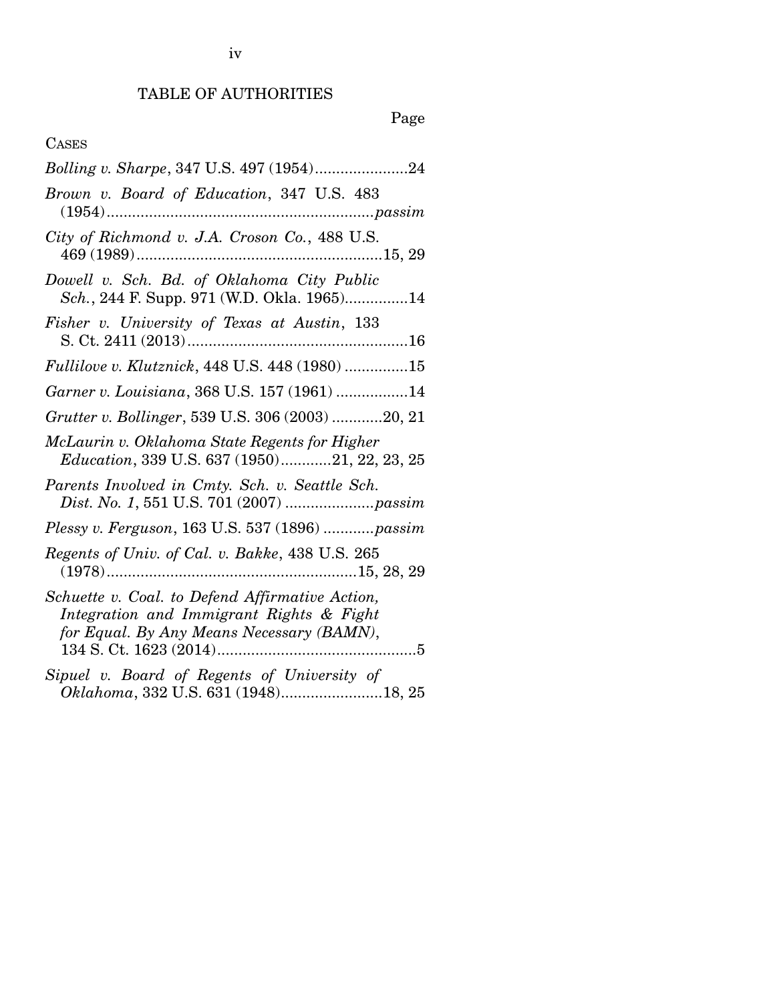# TABLE OF AUTHORITIES

# Page

# CASES

| Bolling v. Sharpe, 347 U.S. 497 (1954)24                                                                                                 |
|------------------------------------------------------------------------------------------------------------------------------------------|
| Brown v. Board of Education, 347 U.S. 483                                                                                                |
| City of Richmond v. J.A. Croson Co., 488 U.S.                                                                                            |
| Dowell v. Sch. Bd. of Oklahoma City Public<br>Sch., 244 F. Supp. 971 (W.D. Okla. 1965)14                                                 |
| Fisher v. University of Texas at Austin, 133                                                                                             |
| Fullilove v. Klutznick, 448 U.S. 448 (1980) 15                                                                                           |
| Garner v. Louisiana, 368 U.S. 157 (1961) 14                                                                                              |
| Grutter v. Bollinger, 539 U.S. 306 (2003) 20, 21                                                                                         |
| McLaurin v. Oklahoma State Regents for Higher<br>Education, 339 U.S. 637 (1950)21, 22, 23, 25                                            |
| Parents Involved in Cmty. Sch. v. Seattle Sch.                                                                                           |
| Plessy v. Ferguson, 163 U.S. 537 (1896) passim                                                                                           |
| Regents of Univ. of Cal. v. Bakke, 438 U.S. 265                                                                                          |
| Schuette v. Coal. to Defend Affirmative Action,<br>Integration and Immigrant Rights & Fight<br>for Equal. By Any Means Necessary (BAMN), |
| Sipuel v. Board of Regents of University of<br>Oklahoma, 332 U.S. 631 (1948)18, 25                                                       |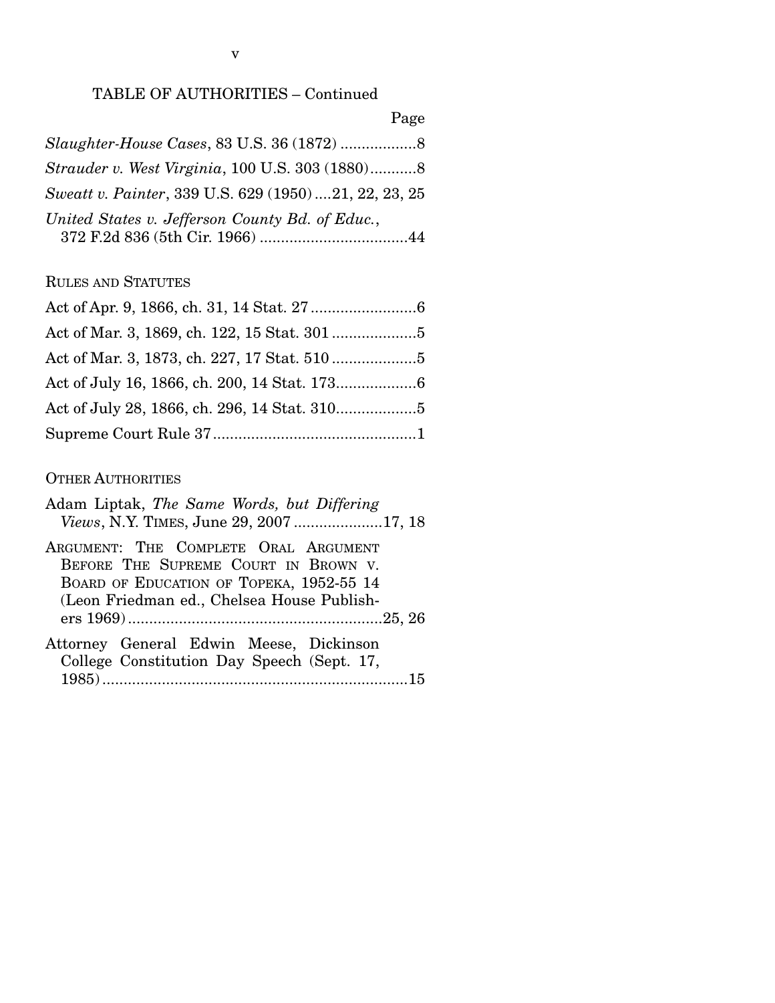### TABLE OF AUTHORITIES – Continued

| Page                                                  |  |
|-------------------------------------------------------|--|
|                                                       |  |
|                                                       |  |
| Sweatt v. Painter, 339 U.S. 629 (1950) 21, 22, 23, 25 |  |
| United States v. Jefferson County Bd. of Educ.,       |  |

### RULES AND STATUTES

### OTHER AUTHORITIES

| Adam Liptak, The Same Words, but Differing<br>Views, N.Y. TIMES, June 29, 2007 17, 18                                                                                  |
|------------------------------------------------------------------------------------------------------------------------------------------------------------------------|
| ARGUMENT: THE COMPLETE ORAL ARGUMENT<br>BEFORE THE SUPREME COURT IN BROWN V.<br>BOARD OF EDUCATION OF TOPEKA, 1952-55 14<br>(Leon Friedman ed., Chelsea House Publish- |
|                                                                                                                                                                        |
| Attorney General Edwin Meese, Dickinson<br>College Constitution Day Speech (Sept. 17,                                                                                  |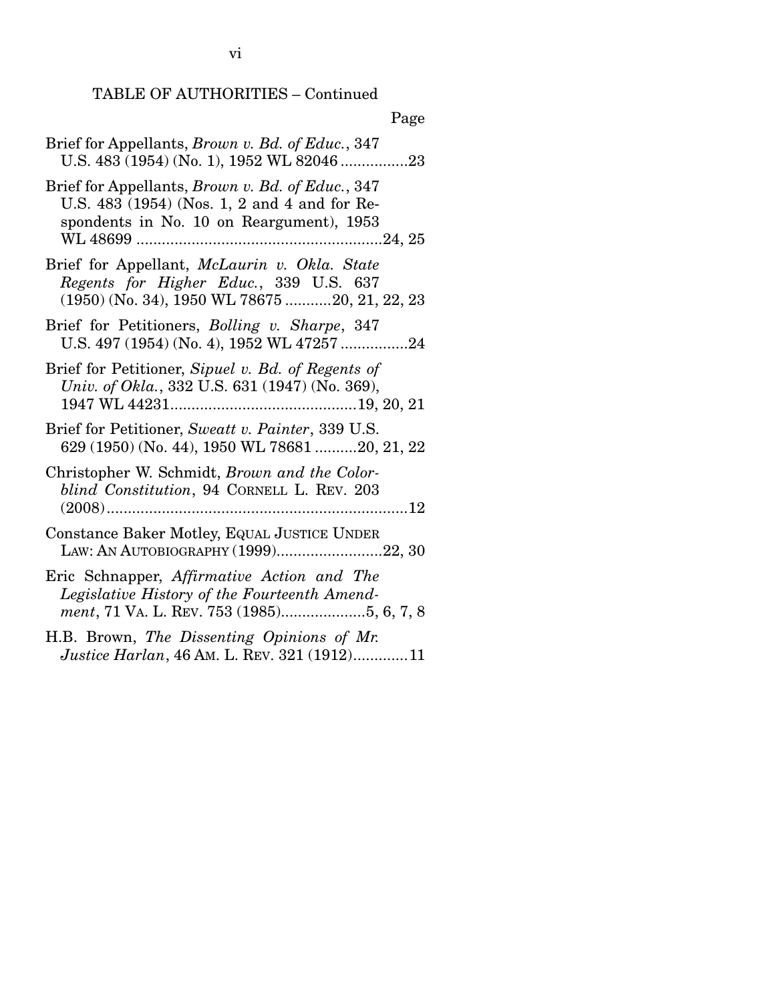# TABLE OF AUTHORITIES – Continued

| Page                                                                                                                                                 |
|------------------------------------------------------------------------------------------------------------------------------------------------------|
| Brief for Appellants, Brown v. Bd. of Educ., 347<br>U.S. 483 (1954) (No. 1), 1952 WL 82046 23                                                        |
| Brief for Appellants, <i>Brown v. Bd. of Educ.</i> , 347<br>U.S. 483 (1954) (Nos. 1, 2 and 4 and for Re-<br>spondents in No. 10 on Reargument), 1953 |
| Brief for Appellant, McLaurin v. Okla. State<br>Regents for Higher Educ., 339 U.S. 637<br>$(1950)$ (No. 34), 1950 WL 78675 20, 21, 22, 23            |
| Brief for Petitioners, <i>Bolling v. Sharpe</i> , 347<br>U.S. 497 (1954) (No. 4), 1952 WL 47257 24                                                   |
| Brief for Petitioner, Sipuel v. Bd. of Regents of<br>Univ. of Okla., 332 U.S. 631 (1947) (No. 369),                                                  |
| Brief for Petitioner, Sweatt v. Painter, 339 U.S.<br>629 (1950) (No. 44), 1950 WL 78681 20, 21, 22                                                   |
| Christopher W. Schmidt, Brown and the Color-<br>blind Constitution, 94 CORNELL L. REV. 203                                                           |
| Constance Baker Motley, EQUAL JUSTICE UNDER<br>LAW: AN AUTOBIOGRAPHY (1999)22, 30                                                                    |
| Eric Schnapper, Affirmative Action and The<br>Legislative History of the Fourteenth Amend-<br>ment, 71 VA. L. REV. 753 (1985)5, 6, 7, 8              |
| H.B. Brown, The Dissenting Opinions of Mr.<br>Justice Harlan, 46 AM. L. REV. 321 (1912)11                                                            |

### vi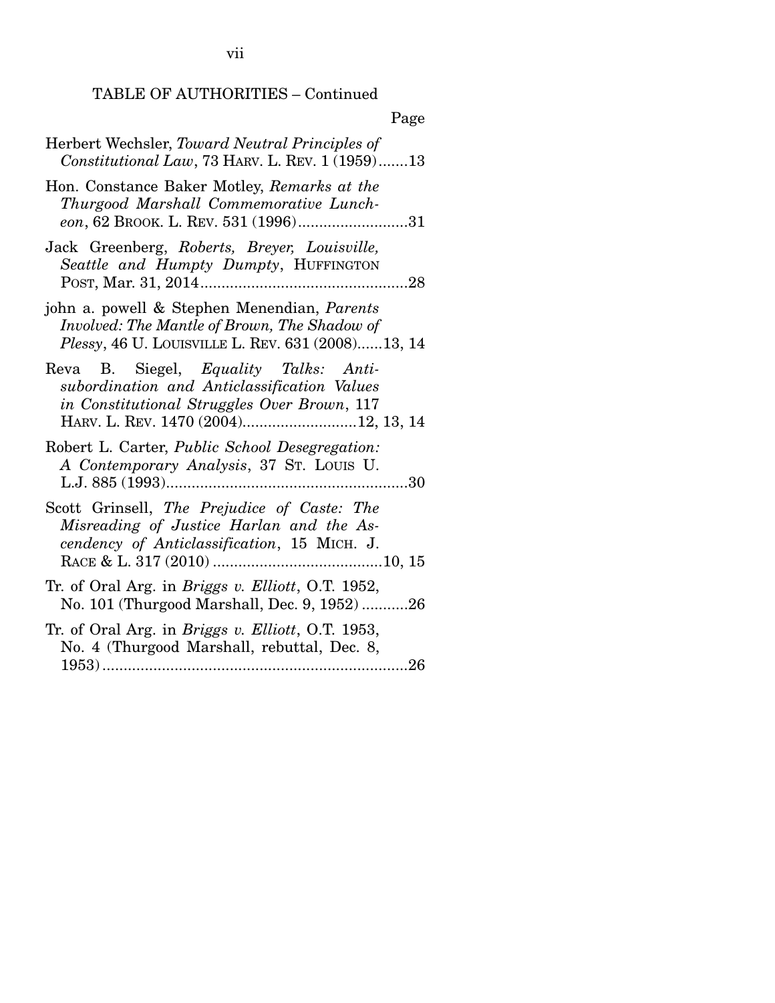vii

# TABLE OF AUTHORITIES – Continued

| Page                                                                                                                                                                              |  |
|-----------------------------------------------------------------------------------------------------------------------------------------------------------------------------------|--|
| Herbert Wechsler, Toward Neutral Principles of<br>Constitutional Law, 73 HARV. L. REV. 1 (1959)13                                                                                 |  |
| Hon. Constance Baker Motley, Remarks at the<br>Thurgood Marshall Commemorative Lunch-<br>еоп, 62 Вкоок. L. REV. 531 (1996)31                                                      |  |
| Jack Greenberg, Roberts, Breyer, Louisville,<br>Seattle and Humpty Dumpty, HUFFINGTON                                                                                             |  |
| john a. powell & Stephen Menendian, Parents<br>Involved: The Mantle of Brown, The Shadow of<br>Plessy, 46 U. LOUISVILLE L. REV. 631 (2008)13, 14                                  |  |
| Reva B. Siegel, <i>Equality Talks: Anti-</i><br>subordination and Anticlassification Values<br>in Constitutional Struggles Over Brown, 117<br>HARV. L. REV. 1470 (2004)12, 13, 14 |  |
| Robert L. Carter, <i>Public School Desegregation</i> :<br>A Contemporary Analysis, 37 Sr. Louis U.                                                                                |  |
| Scott Grinsell, The Prejudice of Caste: The<br>Misreading of Justice Harlan and the As-<br>cendency of Anticlassification, 15 MICH. J.                                            |  |
| Tr. of Oral Arg. in <i>Briggs v. Elliott</i> , O.T. 1952,<br>No. 101 (Thurgood Marshall, Dec. 9, 1952)26                                                                          |  |
| Tr. of Oral Arg. in <i>Briggs v. Elliott</i> , O.T. 1953,<br>No. 4 (Thurgood Marshall, rebuttal, Dec. 8,                                                                          |  |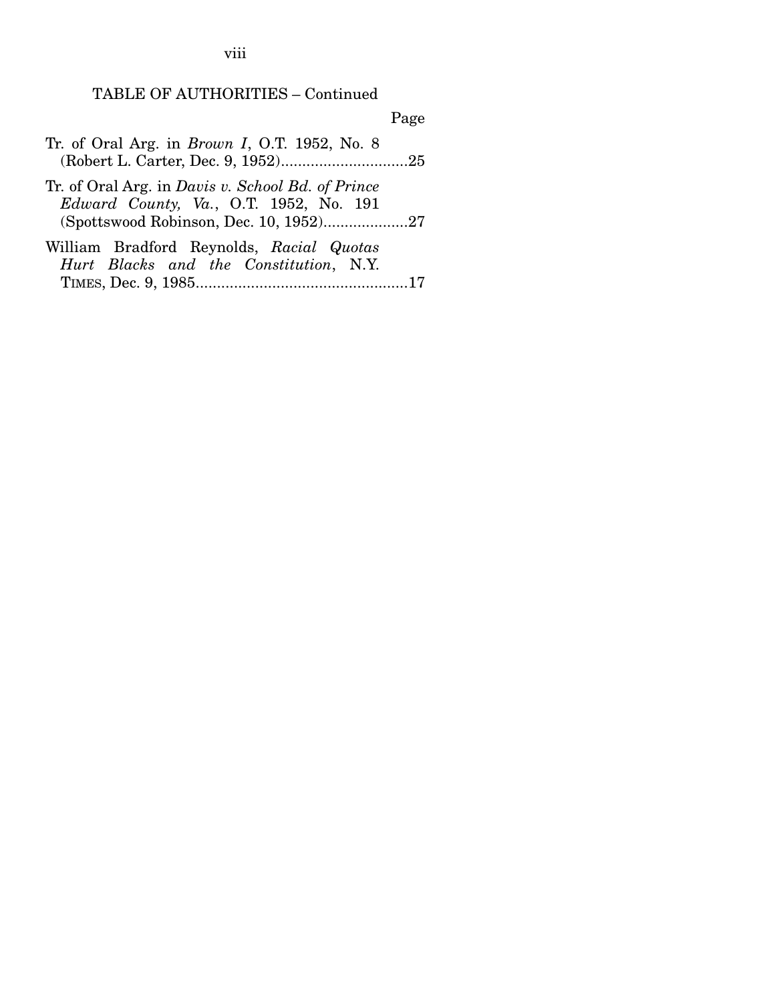viii

### TABLE OF AUTHORITIES – Continued

Page

- Tr. of Oral Arg. in *Brown I*, O.T. 1952, No. 8 (Robert L. Carter, Dec. 9, 1952) .............................. 25
- Tr. of Oral Arg. in *Davis v. School Bd. of Prince Edward County, Va.*, O.T. 1952, No. 191 (Spottswood Robinson, Dec. 10, 1952) .................... 27
- William Bradford Reynolds, *Racial Quotas Hurt Blacks and the Constitution*, N.Y. TIMES, Dec. 9, 1985 .................................................. 17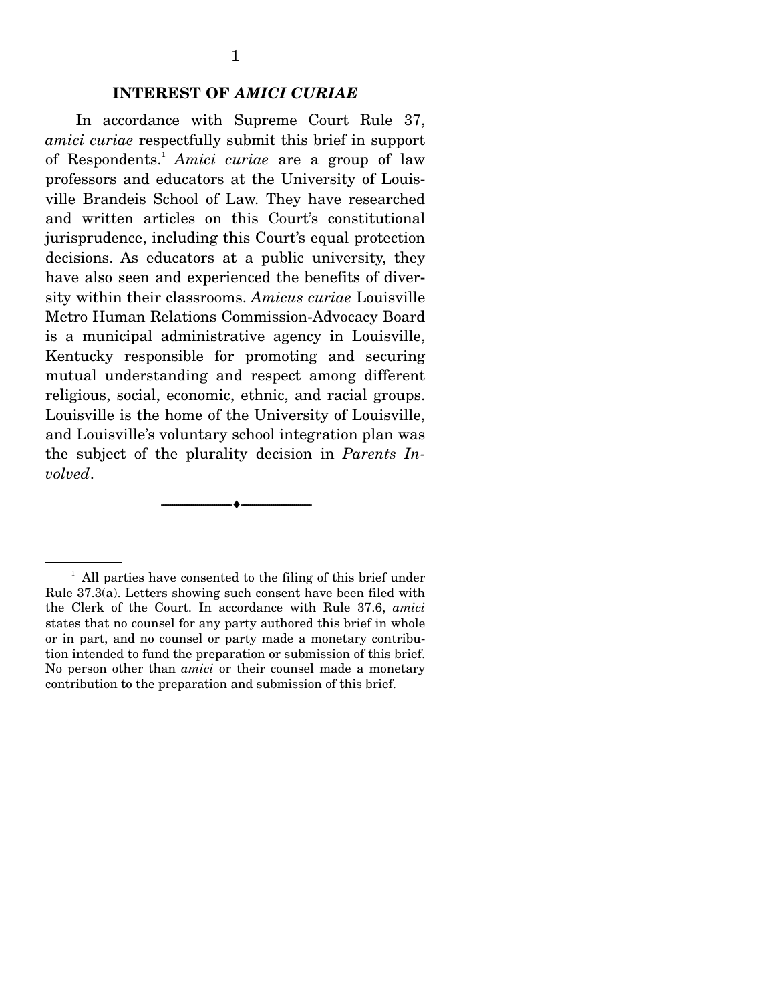#### **INTEREST OF** *AMICI CURIAE*

 In accordance with Supreme Court Rule 37, *amici curiae* respectfully submit this brief in support of Respondents.1 *Amici curiae* are a group of law professors and educators at the University of Louisville Brandeis School of Law. They have researched and written articles on this Court's constitutional jurisprudence, including this Court's equal protection decisions. As educators at a public university, they have also seen and experienced the benefits of diversity within their classrooms. *Amicus curiae* Louisville Metro Human Relations Commission-Advocacy Board is a municipal administrative agency in Louisville, Kentucky responsible for promoting and securing mutual understanding and respect among different religious, social, economic, ethnic, and racial groups. Louisville is the home of the University of Louisville, and Louisville's voluntary school integration plan was the subject of the plurality decision in *Parents Involved*.

--------------------------------- ---------------------------------

<sup>&</sup>lt;sup>1</sup> All parties have consented to the filing of this brief under Rule 37.3(a). Letters showing such consent have been filed with the Clerk of the Court. In accordance with Rule 37.6, *amici* states that no counsel for any party authored this brief in whole or in part, and no counsel or party made a monetary contribution intended to fund the preparation or submission of this brief. No person other than *amici* or their counsel made a monetary contribution to the preparation and submission of this brief.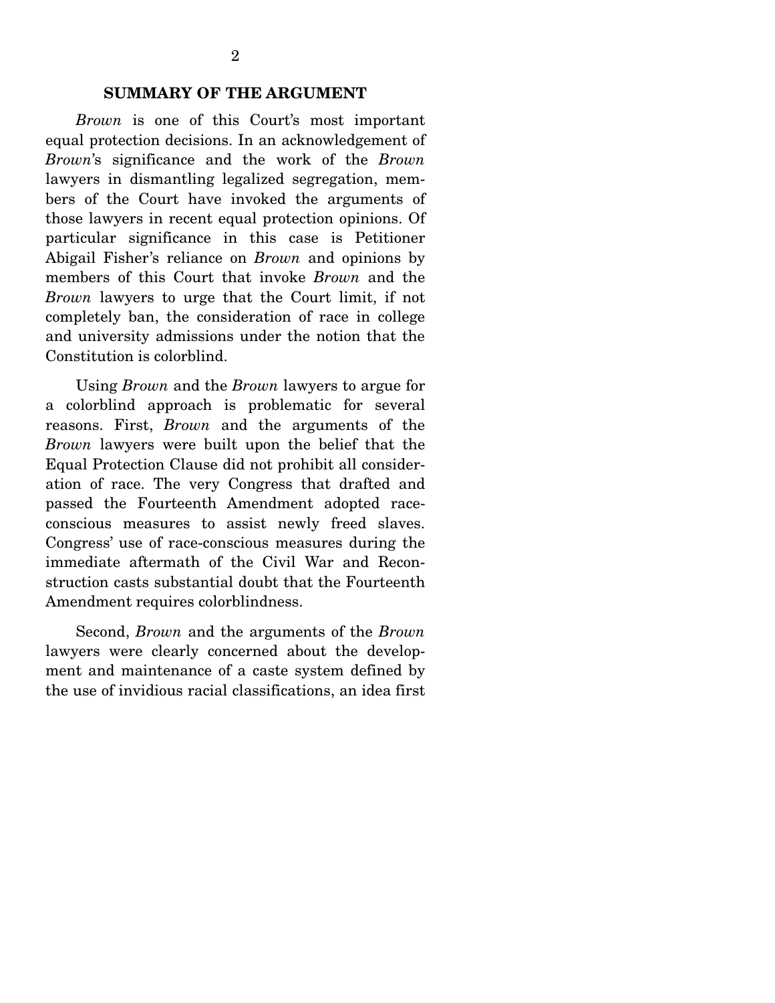*Brown* is one of this Court's most important equal protection decisions. In an acknowledgement of *Brown*'s significance and the work of the *Brown*  lawyers in dismantling legalized segregation, members of the Court have invoked the arguments of those lawyers in recent equal protection opinions. Of particular significance in this case is Petitioner Abigail Fisher's reliance on *Brown* and opinions by members of this Court that invoke *Brown* and the *Brown* lawyers to urge that the Court limit, if not completely ban, the consideration of race in college and university admissions under the notion that the Constitution is colorblind.

 Using *Brown* and the *Brown* lawyers to argue for a colorblind approach is problematic for several reasons. First, *Brown* and the arguments of the *Brown* lawyers were built upon the belief that the Equal Protection Clause did not prohibit all consideration of race. The very Congress that drafted and passed the Fourteenth Amendment adopted raceconscious measures to assist newly freed slaves. Congress' use of race-conscious measures during the immediate aftermath of the Civil War and Reconstruction casts substantial doubt that the Fourteenth Amendment requires colorblindness.

 Second, *Brown* and the arguments of the *Brown*  lawyers were clearly concerned about the development and maintenance of a caste system defined by the use of invidious racial classifications, an idea first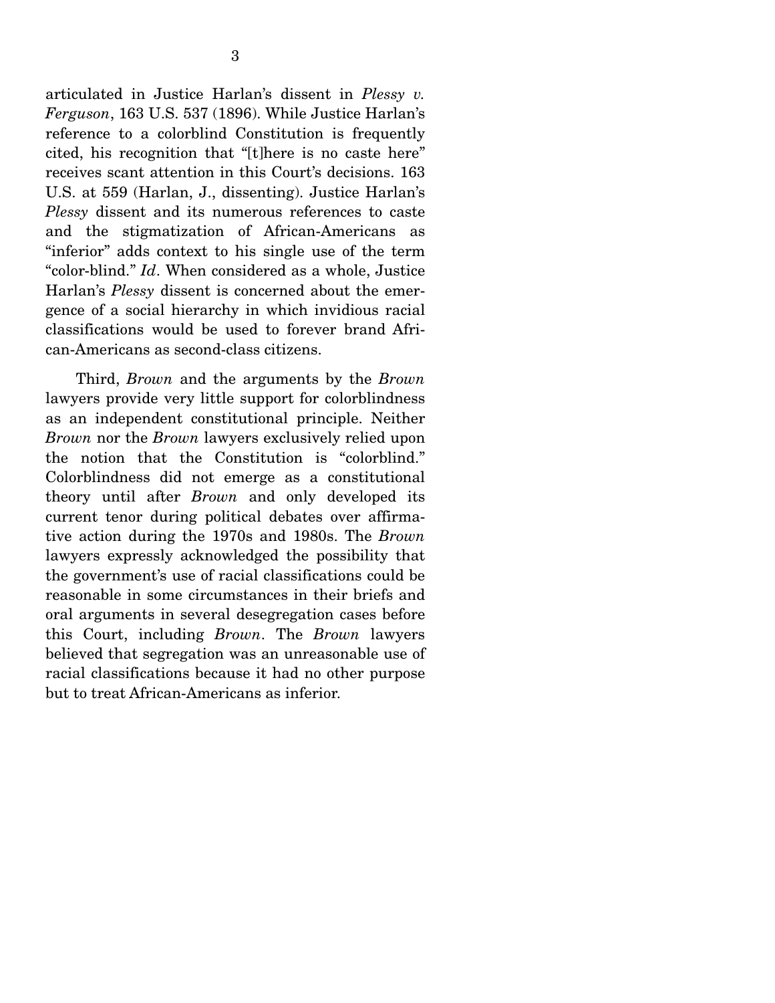articulated in Justice Harlan's dissent in *Plessy v. Ferguson*, 163 U.S. 537 (1896). While Justice Harlan's reference to a colorblind Constitution is frequently cited, his recognition that "[t]here is no caste here" receives scant attention in this Court's decisions. 163 U.S. at 559 (Harlan, J., dissenting). Justice Harlan's *Plessy* dissent and its numerous references to caste and the stigmatization of African-Americans as "inferior" adds context to his single use of the term "color-blind." *Id*. When considered as a whole, Justice Harlan's *Plessy* dissent is concerned about the emergence of a social hierarchy in which invidious racial classifications would be used to forever brand African-Americans as second-class citizens.

 Third, *Brown* and the arguments by the *Brown*  lawyers provide very little support for colorblindness as an independent constitutional principle. Neither *Brown* nor the *Brown* lawyers exclusively relied upon the notion that the Constitution is "colorblind." Colorblindness did not emerge as a constitutional theory until after *Brown* and only developed its current tenor during political debates over affirmative action during the 1970s and 1980s. The *Brown*  lawyers expressly acknowledged the possibility that the government's use of racial classifications could be reasonable in some circumstances in their briefs and oral arguments in several desegregation cases before this Court, including *Brown*. The *Brown* lawyers believed that segregation was an unreasonable use of racial classifications because it had no other purpose but to treat African-Americans as inferior.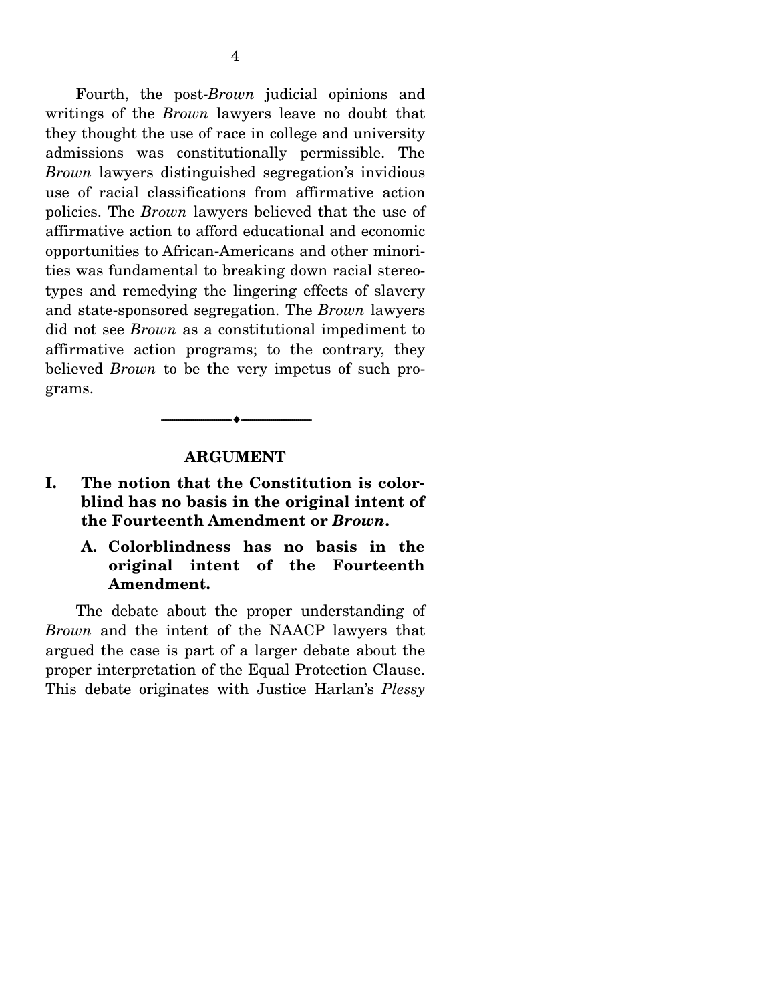Fourth, the post-*Brown* judicial opinions and writings of the *Brown* lawyers leave no doubt that they thought the use of race in college and university admissions was constitutionally permissible. The *Brown* lawyers distinguished segregation's invidious use of racial classifications from affirmative action policies. The *Brown* lawyers believed that the use of affirmative action to afford educational and economic opportunities to African-Americans and other minorities was fundamental to breaking down racial stereotypes and remedying the lingering effects of slavery and state-sponsored segregation. The *Brown* lawyers did not see *Brown* as a constitutional impediment to affirmative action programs; to the contrary, they believed *Brown* to be the very impetus of such programs.

#### **ARGUMENT**

--------------------------------- ---------------------------------

### **I. The notion that the Constitution is colorblind has no basis in the original intent of the Fourteenth Amendment or** *Brown***.**

**A. Colorblindness has no basis in the original intent of the Fourteenth Amendment.**

 The debate about the proper understanding of *Brown* and the intent of the NAACP lawyers that argued the case is part of a larger debate about the proper interpretation of the Equal Protection Clause. This debate originates with Justice Harlan's *Plessy*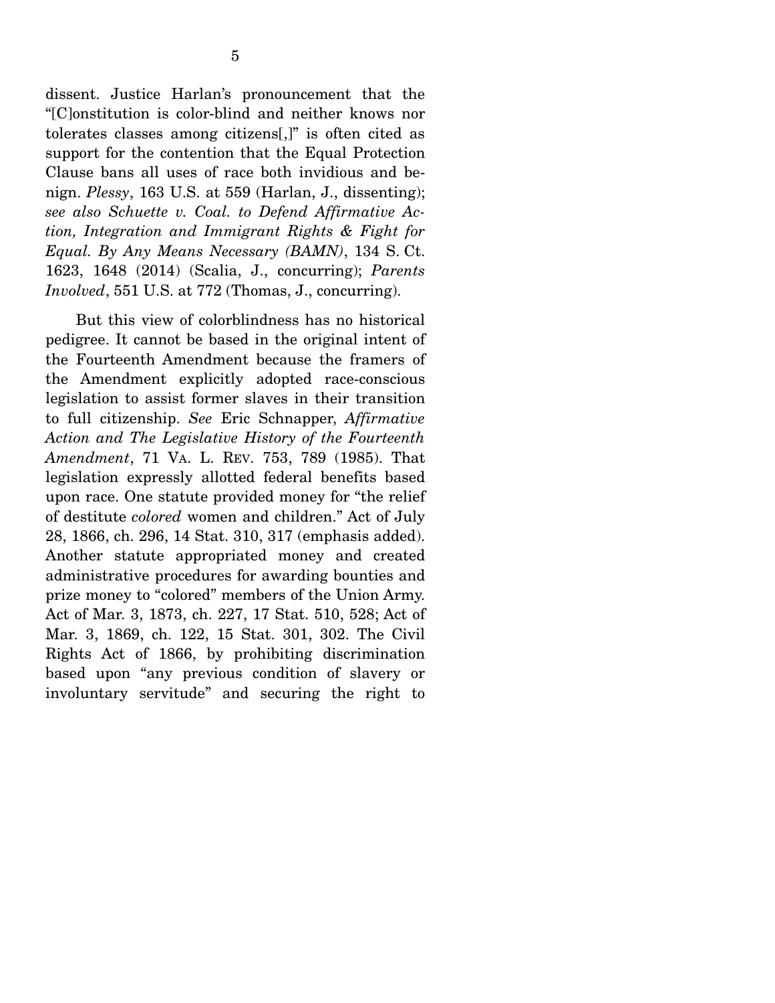dissent. Justice Harlan's pronouncement that the "[C]onstitution is color-blind and neither knows nor tolerates classes among citizens[,]" is often cited as support for the contention that the Equal Protection Clause bans all uses of race both invidious and benign. *Plessy*, 163 U.S. at 559 (Harlan, J., dissenting); *see also Schuette v. Coal. to Defend Affirmative Action, Integration and Immigrant Rights & Fight for Equal. By Any Means Necessary (BAMN)*, 134 S. Ct. 1623, 1648 (2014) (Scalia, J., concurring); *Parents Involved*, 551 U.S. at 772 (Thomas, J., concurring).

 But this view of colorblindness has no historical pedigree. It cannot be based in the original intent of the Fourteenth Amendment because the framers of the Amendment explicitly adopted race-conscious legislation to assist former slaves in their transition to full citizenship. *See* Eric Schnapper, *Affirmative Action and The Legislative History of the Fourteenth Amendment*, 71 VA. L. REV. 753, 789 (1985). That legislation expressly allotted federal benefits based upon race. One statute provided money for "the relief of destitute *colored* women and children." Act of July 28, 1866, ch. 296, 14 Stat. 310, 317 (emphasis added). Another statute appropriated money and created administrative procedures for awarding bounties and prize money to "colored" members of the Union Army. Act of Mar. 3, 1873, ch. 227, 17 Stat. 510, 528; Act of Mar. 3, 1869, ch. 122, 15 Stat. 301, 302. The Civil Rights Act of 1866, by prohibiting discrimination based upon "any previous condition of slavery or involuntary servitude" and securing the right to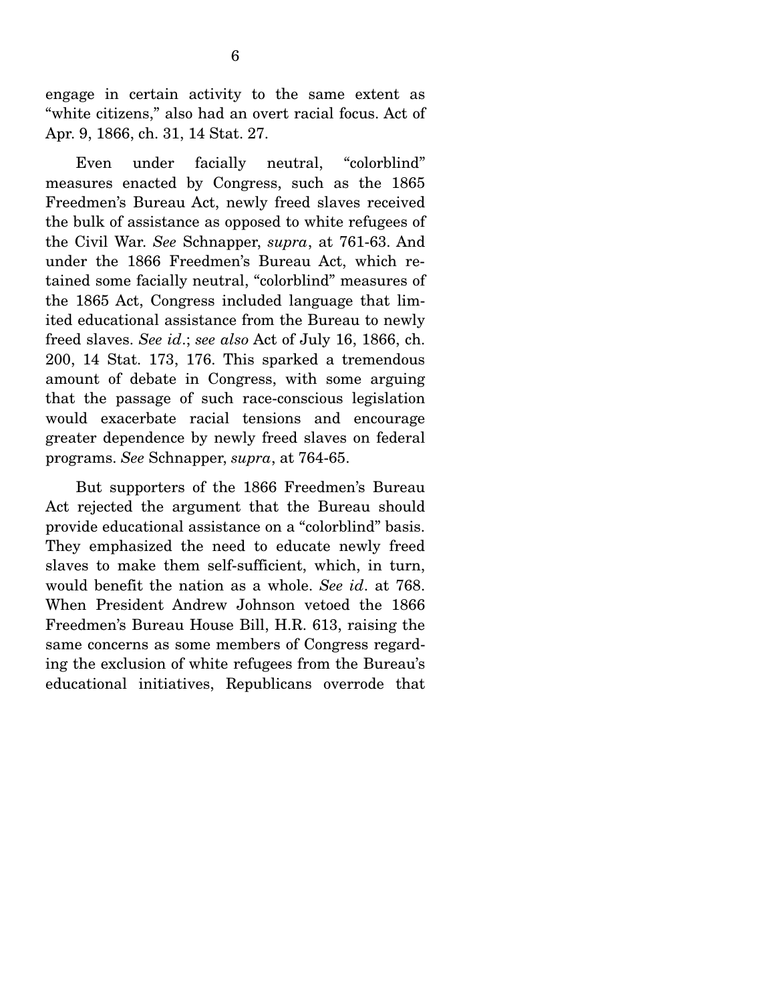engage in certain activity to the same extent as "white citizens," also had an overt racial focus. Act of Apr. 9, 1866, ch. 31, 14 Stat. 27.

 Even under facially neutral, "colorblind" measures enacted by Congress, such as the 1865 Freedmen's Bureau Act, newly freed slaves received the bulk of assistance as opposed to white refugees of the Civil War. *See* Schnapper, *supra*, at 761-63. And under the 1866 Freedmen's Bureau Act, which retained some facially neutral, "colorblind" measures of the 1865 Act, Congress included language that limited educational assistance from the Bureau to newly freed slaves. *See id*.; *see also* Act of July 16, 1866, ch. 200, 14 Stat. 173, 176. This sparked a tremendous amount of debate in Congress, with some arguing that the passage of such race-conscious legislation would exacerbate racial tensions and encourage greater dependence by newly freed slaves on federal programs. *See* Schnapper, *supra*, at 764-65.

 But supporters of the 1866 Freedmen's Bureau Act rejected the argument that the Bureau should provide educational assistance on a "colorblind" basis. They emphasized the need to educate newly freed slaves to make them self-sufficient, which, in turn, would benefit the nation as a whole. *See id*. at 768. When President Andrew Johnson vetoed the 1866 Freedmen's Bureau House Bill, H.R. 613, raising the same concerns as some members of Congress regarding the exclusion of white refugees from the Bureau's educational initiatives, Republicans overrode that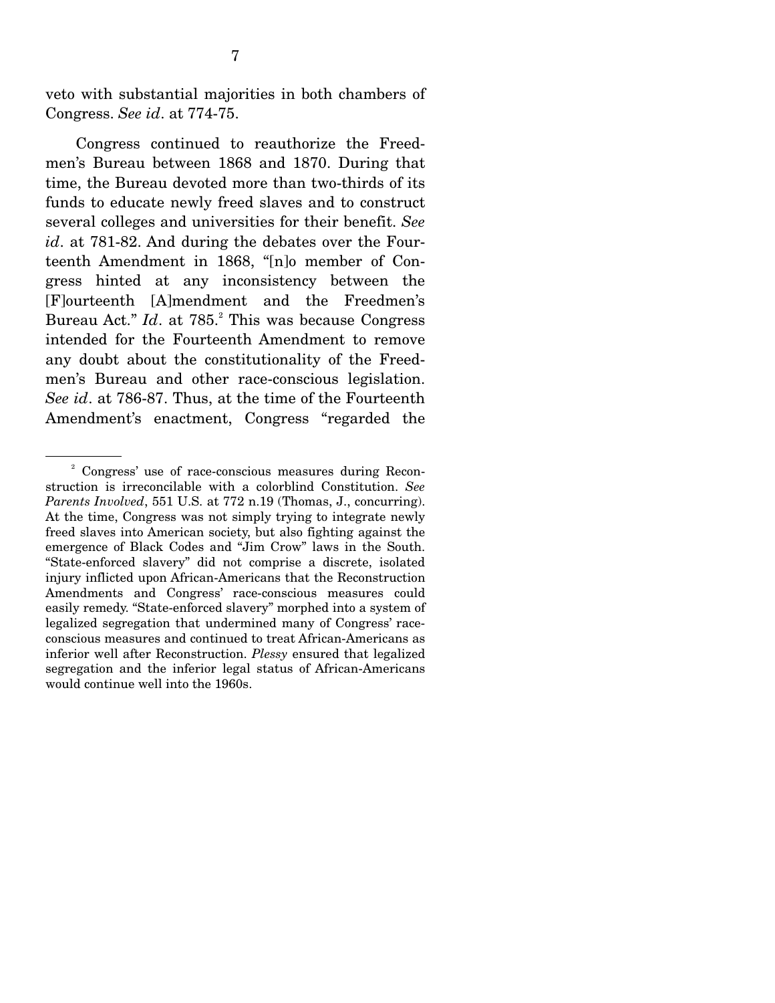veto with substantial majorities in both chambers of Congress. *See id*. at 774-75.

 Congress continued to reauthorize the Freedmen's Bureau between 1868 and 1870. During that time, the Bureau devoted more than two-thirds of its funds to educate newly freed slaves and to construct several colleges and universities for their benefit. *See id*. at 781-82. And during the debates over the Fourteenth Amendment in 1868, "[n]o member of Congress hinted at any inconsistency between the [F]ourteenth [A]mendment and the Freedmen's Bureau Act." *Id.* at 785.<sup>2</sup> This was because Congress intended for the Fourteenth Amendment to remove any doubt about the constitutionality of the Freedmen's Bureau and other race-conscious legislation. *See id*. at 786-87. Thus, at the time of the Fourteenth Amendment's enactment, Congress "regarded the

<sup>2</sup> Congress' use of race-conscious measures during Reconstruction is irreconcilable with a colorblind Constitution. *See Parents Involved*, 551 U.S. at 772 n.19 (Thomas, J., concurring). At the time, Congress was not simply trying to integrate newly freed slaves into American society, but also fighting against the emergence of Black Codes and "Jim Crow" laws in the South. "State-enforced slavery" did not comprise a discrete, isolated injury inflicted upon African-Americans that the Reconstruction Amendments and Congress' race-conscious measures could easily remedy. "State-enforced slavery" morphed into a system of legalized segregation that undermined many of Congress' raceconscious measures and continued to treat African-Americans as inferior well after Reconstruction. *Plessy* ensured that legalized segregation and the inferior legal status of African-Americans would continue well into the 1960s.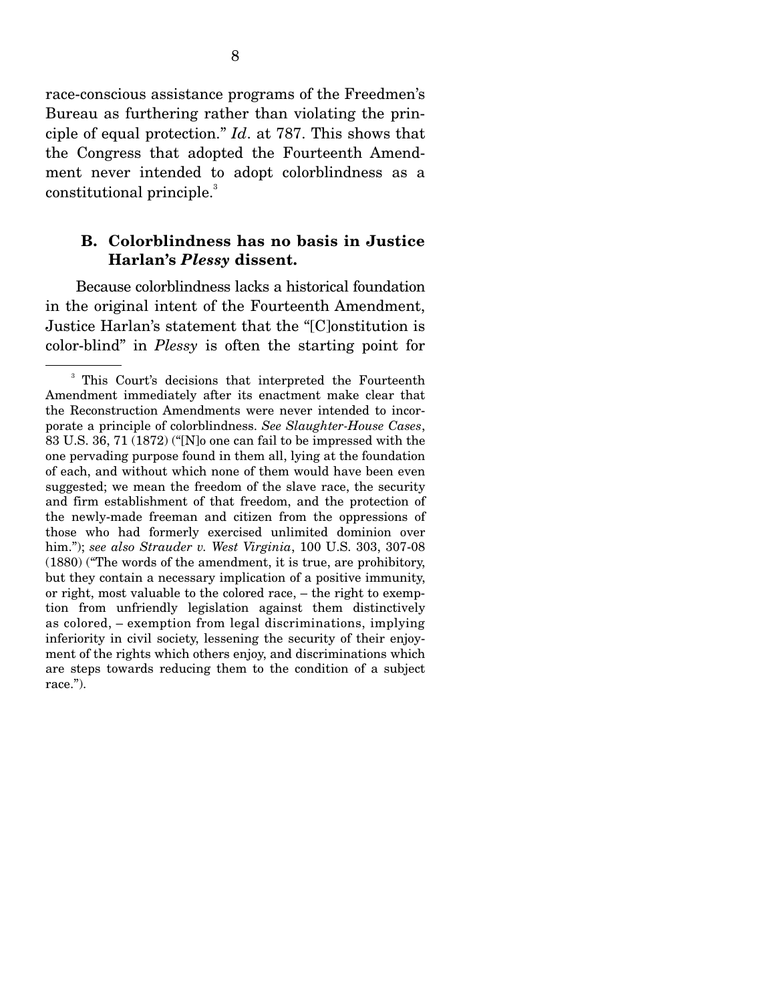race-conscious assistance programs of the Freedmen's Bureau as furthering rather than violating the principle of equal protection." *Id*. at 787. This shows that the Congress that adopted the Fourteenth Amendment never intended to adopt colorblindness as a constitutional principle.<sup>3</sup>

#### **B. Colorblindness has no basis in Justice Harlan's** *Plessy* **dissent.**

 Because colorblindness lacks a historical foundation in the original intent of the Fourteenth Amendment, Justice Harlan's statement that the "[C]onstitution is color-blind" in *Plessy* is often the starting point for

<sup>&</sup>lt;sup>3</sup> This Court's decisions that interpreted the Fourteenth Amendment immediately after its enactment make clear that the Reconstruction Amendments were never intended to incorporate a principle of colorblindness. *See Slaughter-House Cases*, 83 U.S. 36, 71 (1872) ("[N]o one can fail to be impressed with the one pervading purpose found in them all, lying at the foundation of each, and without which none of them would have been even suggested; we mean the freedom of the slave race, the security and firm establishment of that freedom, and the protection of the newly-made freeman and citizen from the oppressions of those who had formerly exercised unlimited dominion over him."); *see also Strauder v. West Virginia*, 100 U.S. 303, 307-08 (1880) ("The words of the amendment, it is true, are prohibitory, but they contain a necessary implication of a positive immunity, or right, most valuable to the colored race, – the right to exemption from unfriendly legislation against them distinctively as colored, – exemption from legal discriminations, implying inferiority in civil society, lessening the security of their enjoyment of the rights which others enjoy, and discriminations which are steps towards reducing them to the condition of a subject race.").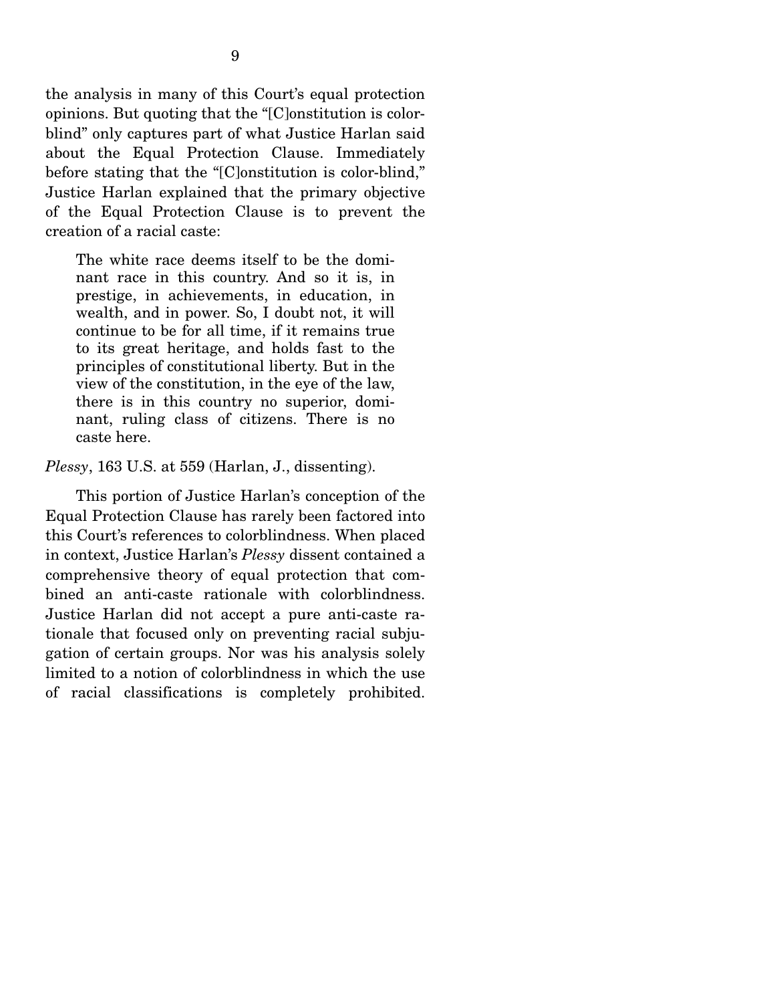the analysis in many of this Court's equal protection opinions. But quoting that the "[C]onstitution is colorblind" only captures part of what Justice Harlan said about the Equal Protection Clause. Immediately before stating that the "[C]onstitution is color-blind," Justice Harlan explained that the primary objective of the Equal Protection Clause is to prevent the creation of a racial caste:

The white race deems itself to be the dominant race in this country. And so it is, in prestige, in achievements, in education, in wealth, and in power. So, I doubt not, it will continue to be for all time, if it remains true to its great heritage, and holds fast to the principles of constitutional liberty. But in the view of the constitution, in the eye of the law, there is in this country no superior, dominant, ruling class of citizens. There is no caste here.

*Plessy*, 163 U.S. at 559 (Harlan, J., dissenting).

 This portion of Justice Harlan's conception of the Equal Protection Clause has rarely been factored into this Court's references to colorblindness. When placed in context, Justice Harlan's *Plessy* dissent contained a comprehensive theory of equal protection that combined an anti-caste rationale with colorblindness. Justice Harlan did not accept a pure anti-caste rationale that focused only on preventing racial subjugation of certain groups. Nor was his analysis solely limited to a notion of colorblindness in which the use of racial classifications is completely prohibited.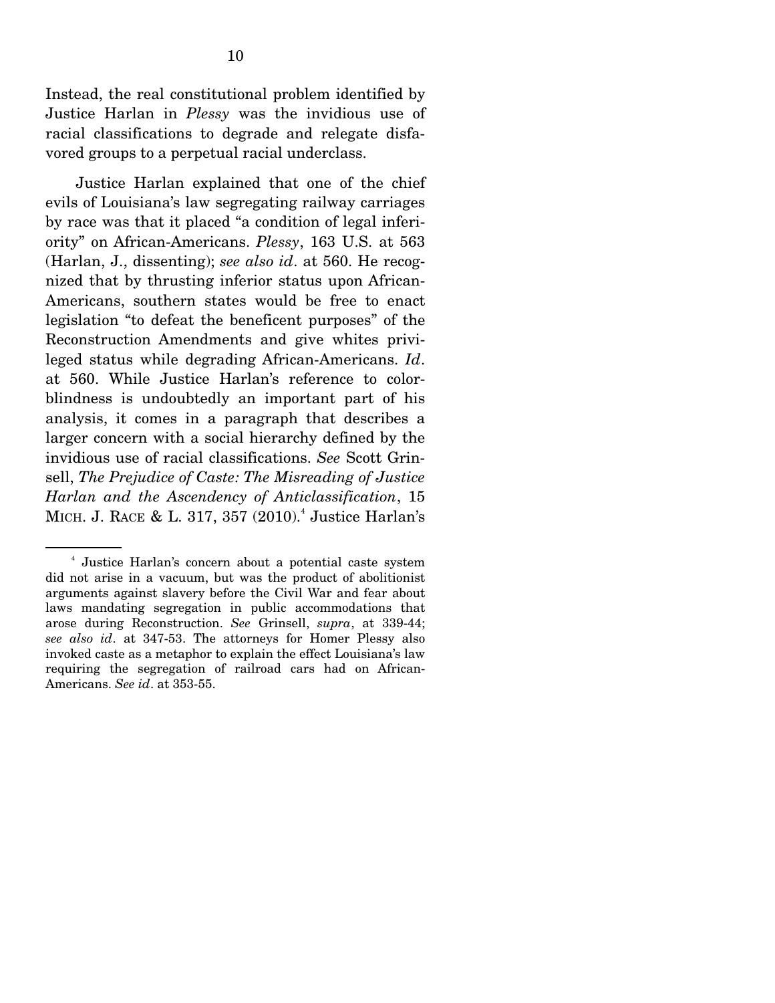Instead, the real constitutional problem identified by Justice Harlan in *Plessy* was the invidious use of racial classifications to degrade and relegate disfavored groups to a perpetual racial underclass.

 Justice Harlan explained that one of the chief evils of Louisiana's law segregating railway carriages by race was that it placed "a condition of legal inferiority" on African-Americans. *Plessy*, 163 U.S. at 563 (Harlan, J., dissenting); *see also id*. at 560. He recognized that by thrusting inferior status upon African-Americans, southern states would be free to enact legislation "to defeat the beneficent purposes" of the Reconstruction Amendments and give whites privileged status while degrading African-Americans. *Id*. at 560. While Justice Harlan's reference to colorblindness is undoubtedly an important part of his analysis, it comes in a paragraph that describes a larger concern with a social hierarchy defined by the invidious use of racial classifications. *See* Scott Grinsell, *The Prejudice of Caste: The Misreading of Justice Harlan and the Ascendency of Anticlassification*, 15 MICH. J. RACE & L. 317, 357 (2010).<sup>4</sup> Justice Harlan's

<sup>4</sup> Justice Harlan's concern about a potential caste system did not arise in a vacuum, but was the product of abolitionist arguments against slavery before the Civil War and fear about laws mandating segregation in public accommodations that arose during Reconstruction. *See* Grinsell, *supra*, at 339-44; *see also id*. at 347-53. The attorneys for Homer Plessy also invoked caste as a metaphor to explain the effect Louisiana's law requiring the segregation of railroad cars had on African-Americans. *See id*. at 353-55.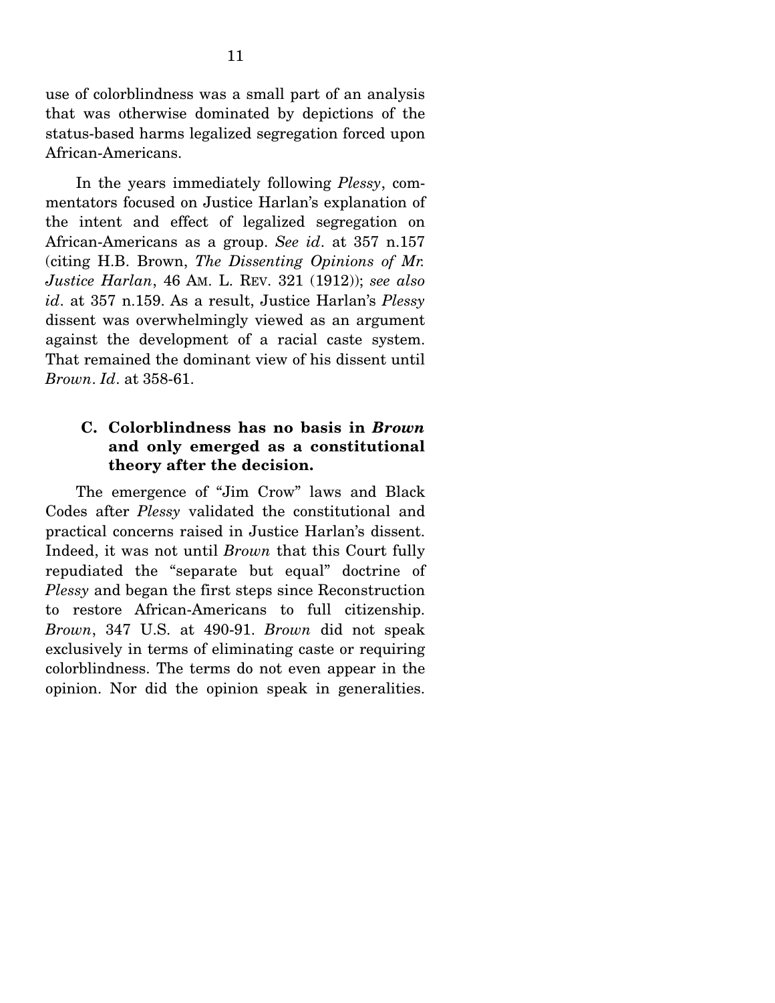use of colorblindness was a small part of an analysis that was otherwise dominated by depictions of the status-based harms legalized segregation forced upon African-Americans.

 In the years immediately following *Plessy*, commentators focused on Justice Harlan's explanation of the intent and effect of legalized segregation on African-Americans as a group. *See id*. at 357 n.157 (citing H.B. Brown, *The Dissenting Opinions of Mr. Justice Harlan*, 46 AM. L. REV. 321 (1912)); *see also id*. at 357 n.159. As a result, Justice Harlan's *Plessy* dissent was overwhelmingly viewed as an argument against the development of a racial caste system. That remained the dominant view of his dissent until *Brown*. *Id*. at 358-61.

#### **C. Colorblindness has no basis in** *Brown* **and only emerged as a constitutional theory after the decision.**

 The emergence of "Jim Crow" laws and Black Codes after *Plessy* validated the constitutional and practical concerns raised in Justice Harlan's dissent. Indeed, it was not until *Brown* that this Court fully repudiated the "separate but equal" doctrine of *Plessy* and began the first steps since Reconstruction to restore African-Americans to full citizenship. *Brown*, 347 U.S. at 490-91. *Brown* did not speak exclusively in terms of eliminating caste or requiring colorblindness. The terms do not even appear in the opinion. Nor did the opinion speak in generalities.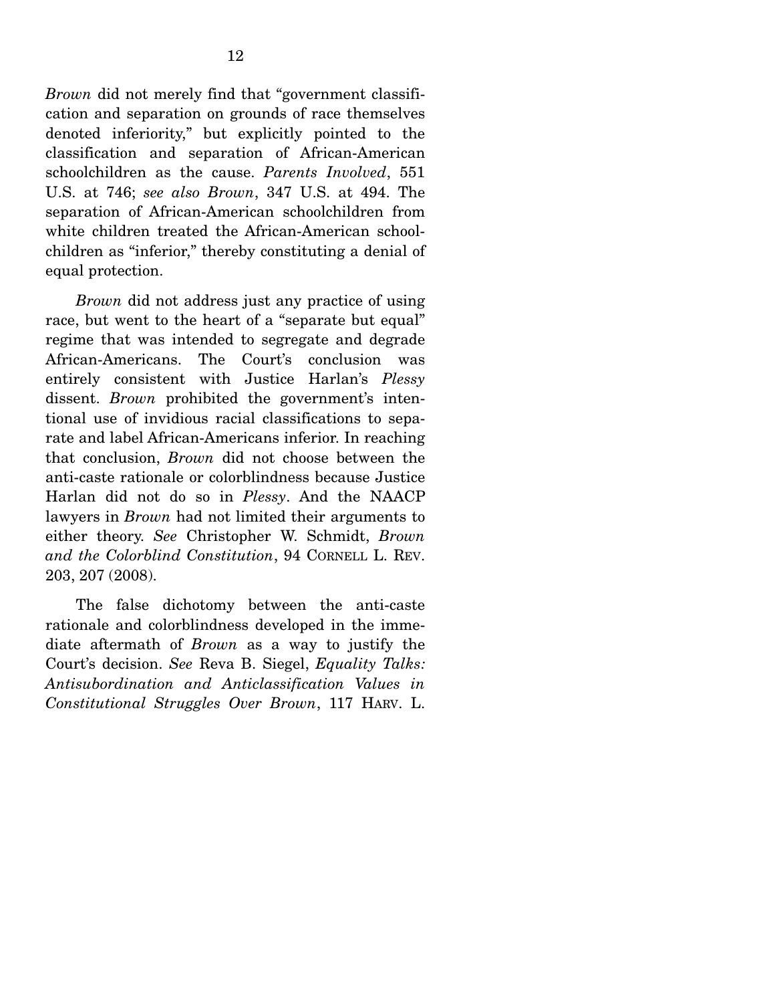*Brown* did not merely find that "government classification and separation on grounds of race themselves denoted inferiority," but explicitly pointed to the classification and separation of African-American schoolchildren as the cause. *Parents Involved*, 551 U.S. at 746; *see also Brown*, 347 U.S. at 494. The separation of African-American schoolchildren from white children treated the African-American schoolchildren as "inferior," thereby constituting a denial of equal protection.

*Brown* did not address just any practice of using race, but went to the heart of a "separate but equal" regime that was intended to segregate and degrade African-Americans. The Court's conclusion was entirely consistent with Justice Harlan's *Plessy*  dissent. *Brown* prohibited the government's intentional use of invidious racial classifications to separate and label African-Americans inferior. In reaching that conclusion, *Brown* did not choose between the anti-caste rationale or colorblindness because Justice Harlan did not do so in *Plessy*. And the NAACP lawyers in *Brown* had not limited their arguments to either theory. *See* Christopher W. Schmidt, *Brown and the Colorblind Constitution*, 94 CORNELL L. REV. 203, 207 (2008).

 The false dichotomy between the anti-caste rationale and colorblindness developed in the immediate aftermath of *Brown* as a way to justify the Court's decision. *See* Reva B. Siegel, *Equality Talks: Antisubordination and Anticlassification Values in Constitutional Struggles Over Brown*, 117 HARV. L.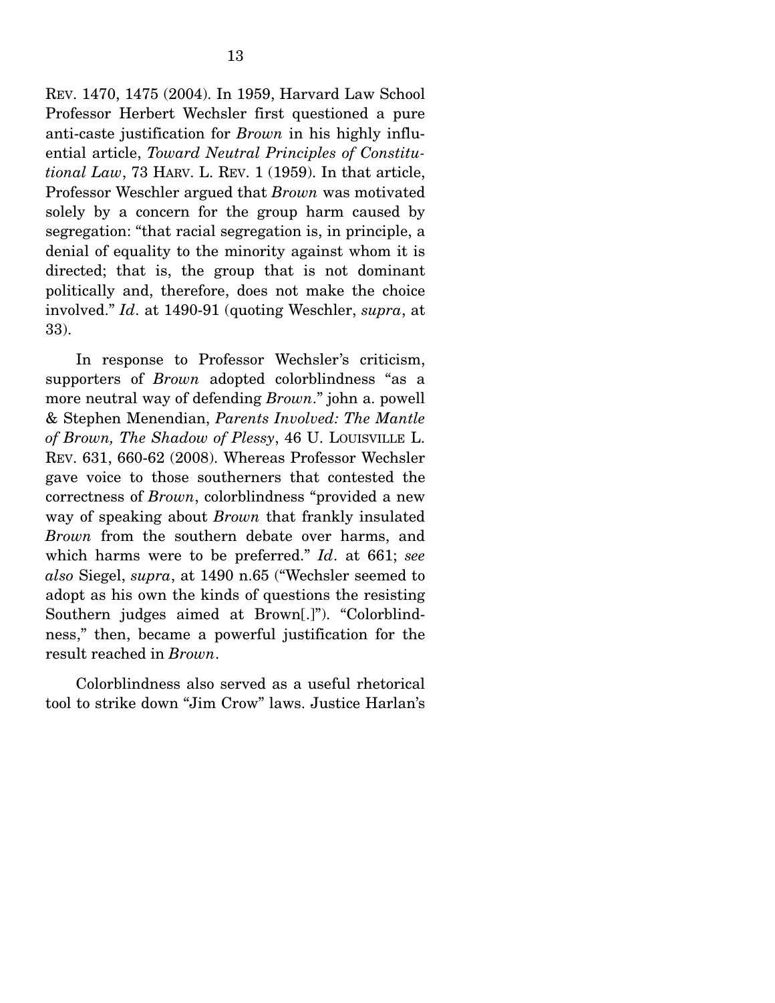REV. 1470, 1475 (2004). In 1959, Harvard Law School Professor Herbert Wechsler first questioned a pure anti-caste justification for *Brown* in his highly influential article, *Toward Neutral Principles of Constitutional Law*, 73 HARV. L. REV. 1 (1959). In that article, Professor Weschler argued that *Brown* was motivated solely by a concern for the group harm caused by segregation: "that racial segregation is, in principle, a denial of equality to the minority against whom it is directed; that is, the group that is not dominant politically and, therefore, does not make the choice involved." *Id*. at 1490-91 (quoting Weschler, *supra*, at 33).

 In response to Professor Wechsler's criticism, supporters of *Brown* adopted colorblindness "as a more neutral way of defending *Brown*." john a. powell & Stephen Menendian, *Parents Involved: The Mantle of Brown, The Shadow of Plessy*, 46 U. LOUISVILLE L. REV. 631, 660-62 (2008). Whereas Professor Wechsler gave voice to those southerners that contested the correctness of *Brown*, colorblindness "provided a new way of speaking about *Brown* that frankly insulated *Brown* from the southern debate over harms, and which harms were to be preferred." *Id*. at 661; *see also* Siegel, *supra*, at 1490 n.65 ("Wechsler seemed to adopt as his own the kinds of questions the resisting Southern judges aimed at Brown[.]"). "Colorblindness," then, became a powerful justification for the result reached in *Brown*.

 Colorblindness also served as a useful rhetorical tool to strike down "Jim Crow" laws. Justice Harlan's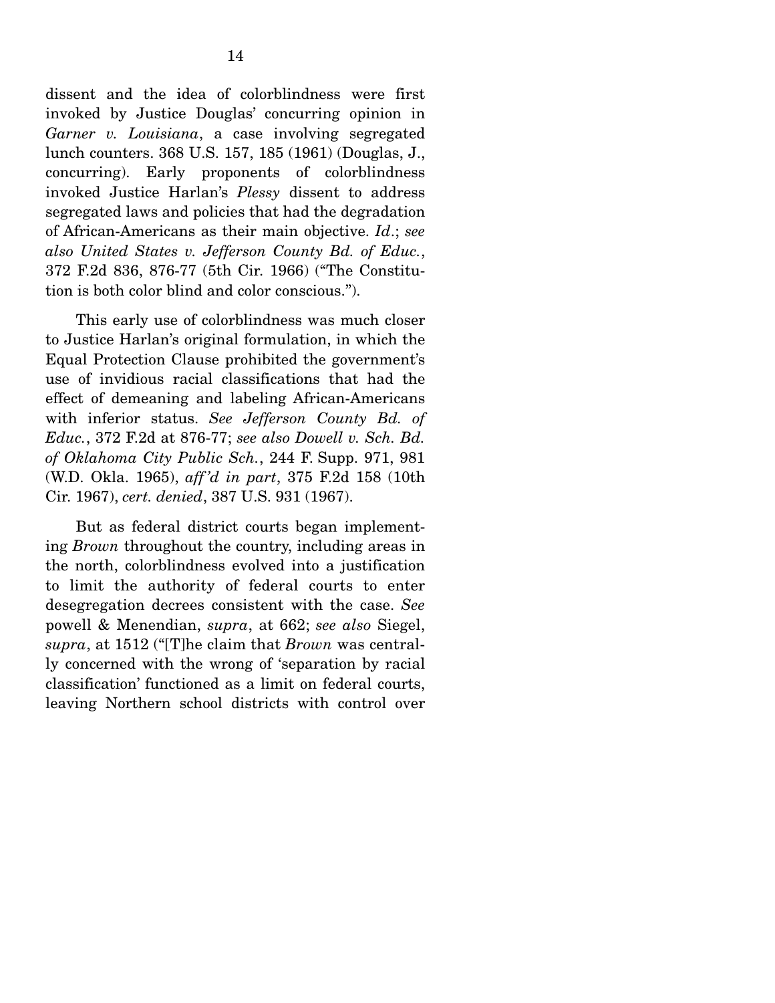dissent and the idea of colorblindness were first invoked by Justice Douglas' concurring opinion in *Garner v. Louisiana*, a case involving segregated lunch counters. 368 U.S. 157, 185 (1961) (Douglas, J., concurring). Early proponents of colorblindness invoked Justice Harlan's *Plessy* dissent to address segregated laws and policies that had the degradation of African-Americans as their main objective. *Id*.; *see also United States v. Jefferson County Bd. of Educ.*, 372 F.2d 836, 876-77 (5th Cir. 1966) ("The Constitution is both color blind and color conscious.").

 This early use of colorblindness was much closer to Justice Harlan's original formulation, in which the Equal Protection Clause prohibited the government's use of invidious racial classifications that had the effect of demeaning and labeling African-Americans with inferior status. *See Jefferson County Bd. of Educ.*, 372 F.2d at 876-77; *see also Dowell v. Sch. Bd. of Oklahoma City Public Sch.*, 244 F. Supp. 971, 981 (W.D. Okla. 1965), *aff 'd in part*, 375 F.2d 158 (10th Cir. 1967), *cert. denied*, 387 U.S. 931 (1967).

 But as federal district courts began implementing *Brown* throughout the country, including areas in the north, colorblindness evolved into a justification to limit the authority of federal courts to enter desegregation decrees consistent with the case. *See* powell & Menendian, *supra*, at 662; *see also* Siegel, *supra*, at 1512 ("[T]he claim that *Brown* was centrally concerned with the wrong of 'separation by racial classification' functioned as a limit on federal courts, leaving Northern school districts with control over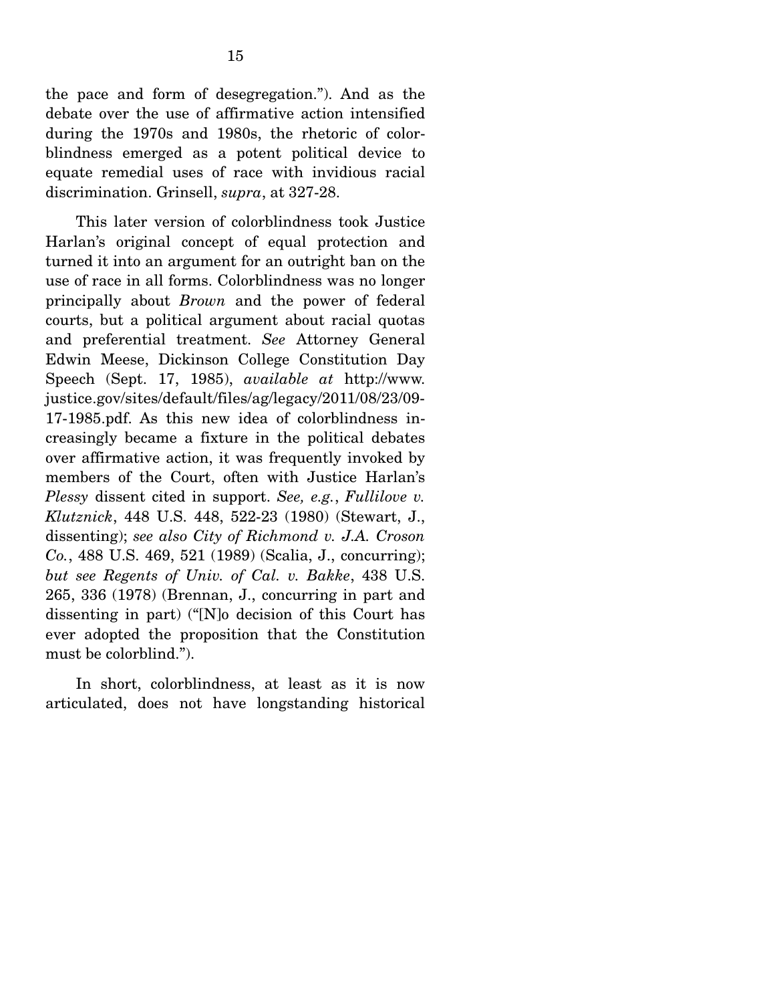the pace and form of desegregation."). And as the debate over the use of affirmative action intensified during the 1970s and 1980s, the rhetoric of colorblindness emerged as a potent political device to equate remedial uses of race with invidious racial discrimination. Grinsell, *supra*, at 327-28.

 This later version of colorblindness took Justice Harlan's original concept of equal protection and turned it into an argument for an outright ban on the use of race in all forms. Colorblindness was no longer principally about *Brown* and the power of federal courts, but a political argument about racial quotas and preferential treatment. *See* Attorney General Edwin Meese, Dickinson College Constitution Day Speech (Sept. 17, 1985), *available at* http://www. justice.gov/sites/default/files/ag/legacy/2011/08/23/09- 17-1985.pdf. As this new idea of colorblindness increasingly became a fixture in the political debates over affirmative action, it was frequently invoked by members of the Court, often with Justice Harlan's *Plessy* dissent cited in support. *See, e.g.*, *Fullilove v. Klutznick*, 448 U.S. 448, 522-23 (1980) (Stewart, J., dissenting); *see also City of Richmond v. J.A. Croson Co.*, 488 U.S. 469, 521 (1989) (Scalia, J., concurring); *but see Regents of Univ. of Cal. v. Bakke*, 438 U.S. 265, 336 (1978) (Brennan, J., concurring in part and dissenting in part) ("[N]o decision of this Court has ever adopted the proposition that the Constitution must be colorblind.").

 In short, colorblindness, at least as it is now articulated, does not have longstanding historical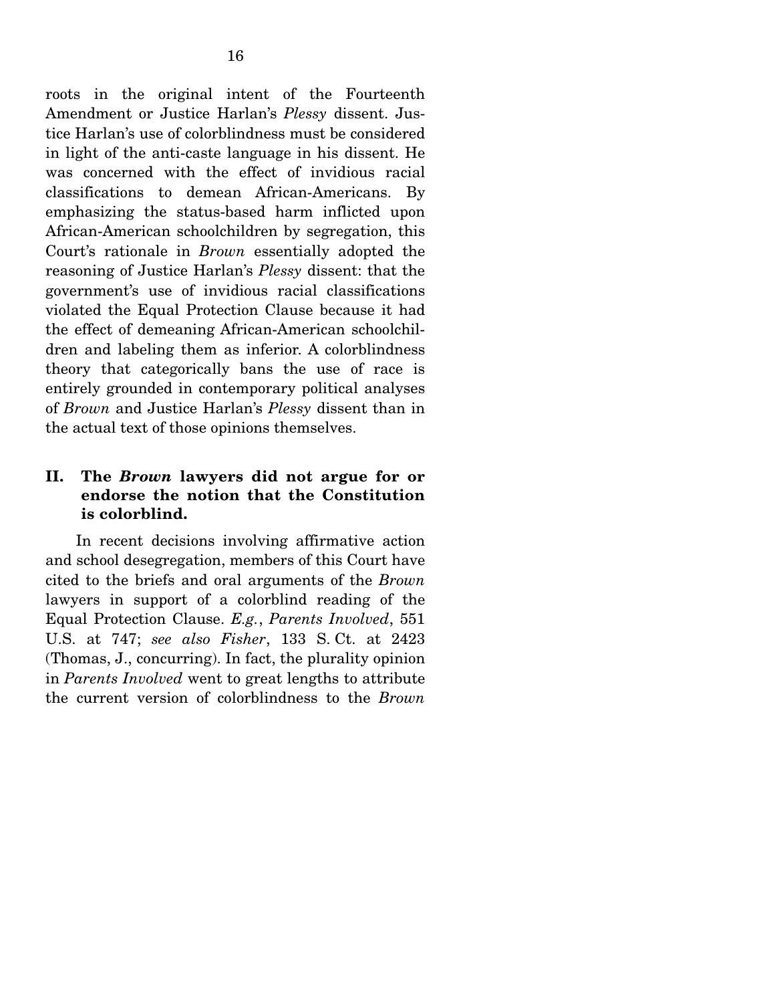roots in the original intent of the Fourteenth Amendment or Justice Harlan's *Plessy* dissent. Justice Harlan's use of colorblindness must be considered in light of the anti-caste language in his dissent. He was concerned with the effect of invidious racial classifications to demean African-Americans. By emphasizing the status-based harm inflicted upon African-American schoolchildren by segregation, this Court's rationale in *Brown* essentially adopted the reasoning of Justice Harlan's *Plessy* dissent: that the government's use of invidious racial classifications violated the Equal Protection Clause because it had the effect of demeaning African-American schoolchildren and labeling them as inferior. A colorblindness theory that categorically bans the use of race is entirely grounded in contemporary political analyses of *Brown* and Justice Harlan's *Plessy* dissent than in the actual text of those opinions themselves.

### **II. The** *Brown* **lawyers did not argue for or endorse the notion that the Constitution is colorblind.**

 In recent decisions involving affirmative action and school desegregation, members of this Court have cited to the briefs and oral arguments of the *Brown* lawyers in support of a colorblind reading of the Equal Protection Clause. *E.g.*, *Parents Involved*, 551 U.S. at 747; *see also Fisher*, 133 S. Ct. at 2423 (Thomas, J., concurring). In fact, the plurality opinion in *Parents Involved* went to great lengths to attribute the current version of colorblindness to the *Brown*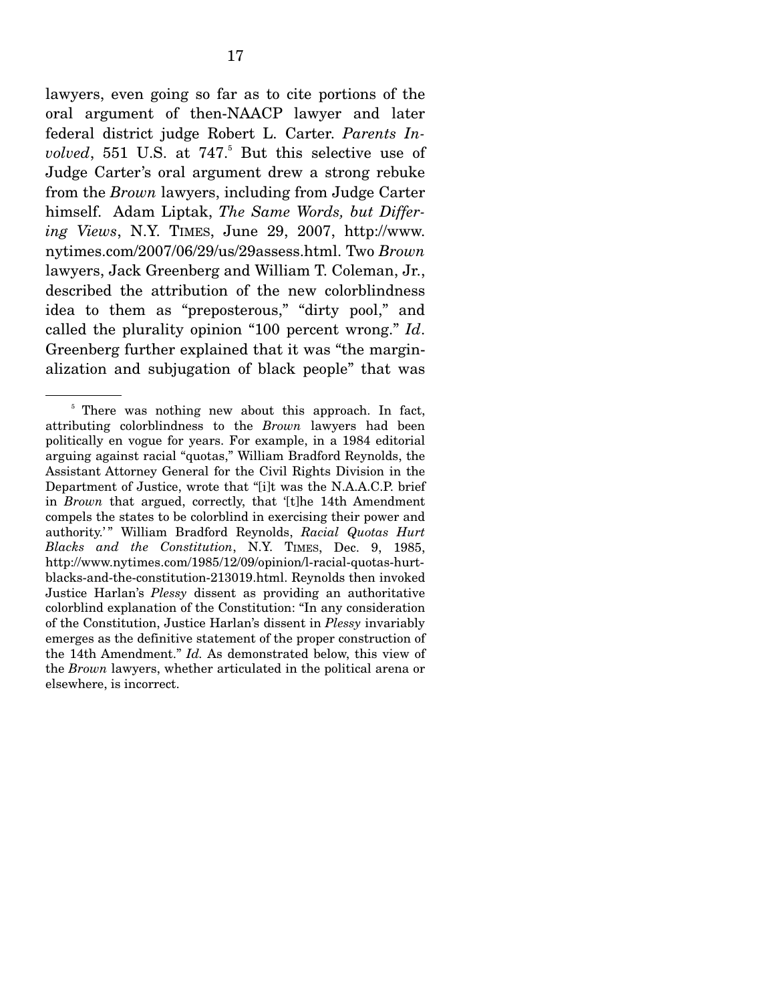lawyers, even going so far as to cite portions of the oral argument of then-NAACP lawyer and later federal district judge Robert L. Carter. *Parents In*volved, 551 U.S. at 747.<sup>5</sup> But this selective use of Judge Carter's oral argument drew a strong rebuke from the *Brown* lawyers, including from Judge Carter himself. Adam Liptak, *The Same Words, but Differing Views*, N.Y. TIMES, June 29, 2007, http://www. nytimes.com/2007/06/29/us/29assess.html. Two *Brown*  lawyers, Jack Greenberg and William T. Coleman, Jr., described the attribution of the new colorblindness idea to them as "preposterous," "dirty pool," and called the plurality opinion "100 percent wrong." *Id*. Greenberg further explained that it was "the marginalization and subjugation of black people" that was

<sup>&</sup>lt;sup>5</sup> There was nothing new about this approach. In fact, attributing colorblindness to the *Brown* lawyers had been politically en vogue for years. For example, in a 1984 editorial arguing against racial "quotas," William Bradford Reynolds, the Assistant Attorney General for the Civil Rights Division in the Department of Justice, wrote that "[i]t was the N.A.A.C.P. brief in *Brown* that argued, correctly, that '[t]he 14th Amendment compels the states to be colorblind in exercising their power and authority.' " William Bradford Reynolds, *Racial Quotas Hurt Blacks and the Constitution*, N.Y. TIMES, Dec. 9, 1985, http://www.nytimes.com/1985/12/09/opinion/l-racial-quotas-hurtblacks-and-the-constitution-213019.html. Reynolds then invoked Justice Harlan's *Plessy* dissent as providing an authoritative colorblind explanation of the Constitution: "In any consideration of the Constitution, Justice Harlan's dissent in *Plessy* invariably emerges as the definitive statement of the proper construction of the 14th Amendment." *Id.* As demonstrated below, this view of the *Brown* lawyers, whether articulated in the political arena or elsewhere, is incorrect.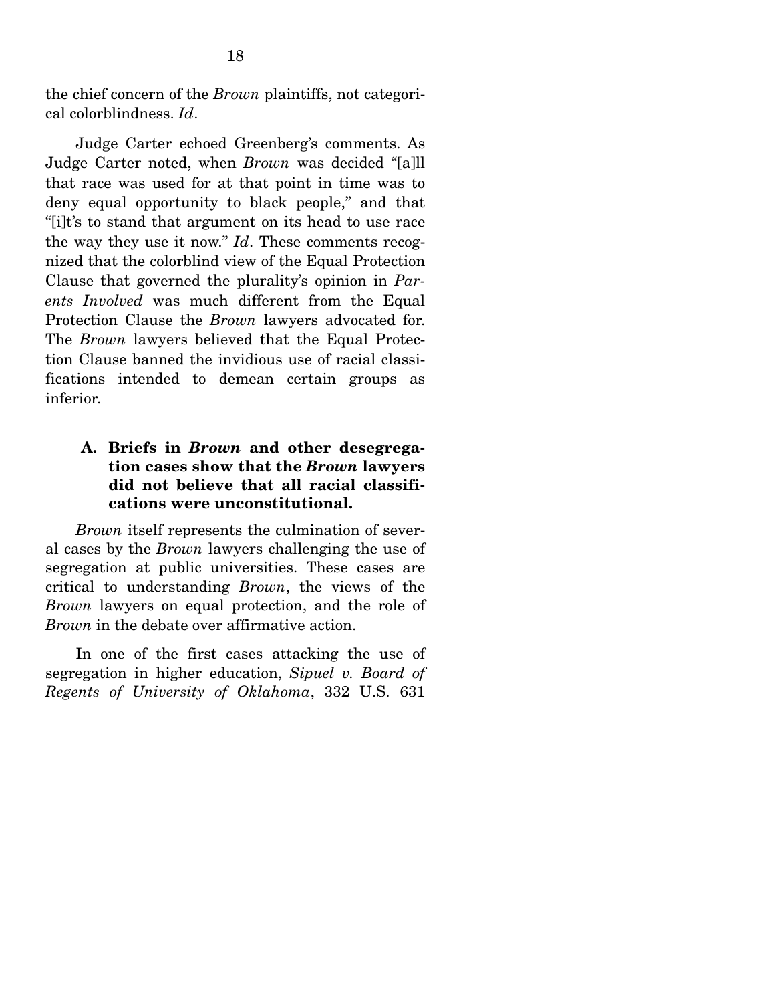the chief concern of the *Brown* plaintiffs, not categorical colorblindness. *Id*.

 Judge Carter echoed Greenberg's comments. As Judge Carter noted, when *Brown* was decided "[a]ll that race was used for at that point in time was to deny equal opportunity to black people," and that "[i]t's to stand that argument on its head to use race the way they use it now." *Id*. These comments recognized that the colorblind view of the Equal Protection Clause that governed the plurality's opinion in *Parents Involved* was much different from the Equal Protection Clause the *Brown* lawyers advocated for. The *Brown* lawyers believed that the Equal Protection Clause banned the invidious use of racial classifications intended to demean certain groups as inferior.

### **A. Briefs in** *Brown* **and other desegregation cases show that the** *Brown* **lawyers did not believe that all racial classifications were unconstitutional.**

*Brown* itself represents the culmination of several cases by the *Brown* lawyers challenging the use of segregation at public universities. These cases are critical to understanding *Brown*, the views of the *Brown* lawyers on equal protection, and the role of *Brown* in the debate over affirmative action.

 In one of the first cases attacking the use of segregation in higher education, *Sipuel v. Board of Regents of University of Oklahoma*, 332 U.S. 631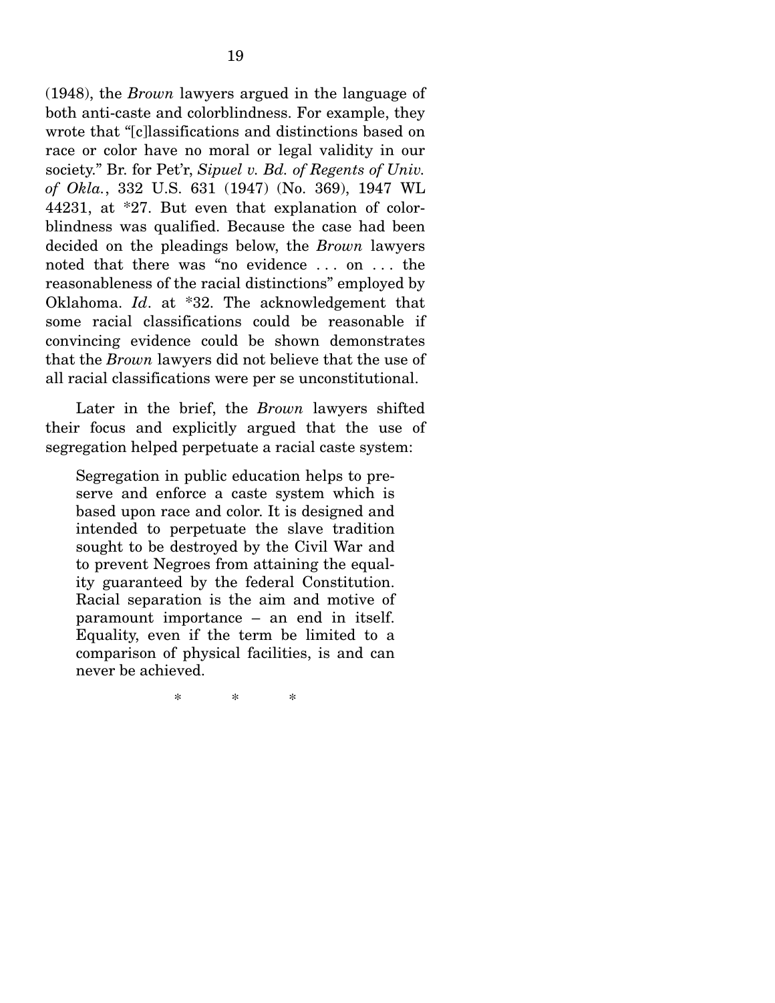(1948), the *Brown* lawyers argued in the language of both anti-caste and colorblindness. For example, they wrote that "[c]lassifications and distinctions based on race or color have no moral or legal validity in our society." Br. for Pet'r, *Sipuel v. Bd. of Regents of Univ. of Okla.*, 332 U.S. 631 (1947) (No. 369), 1947 WL 44231, at \*27. But even that explanation of colorblindness was qualified. Because the case had been decided on the pleadings below, the *Brown* lawyers noted that there was "no evidence . . . on . . . the reasonableness of the racial distinctions" employed by Oklahoma. *Id*. at \*32. The acknowledgement that some racial classifications could be reasonable if convincing evidence could be shown demonstrates that the *Brown* lawyers did not believe that the use of all racial classifications were per se unconstitutional.

 Later in the brief, the *Brown* lawyers shifted their focus and explicitly argued that the use of segregation helped perpetuate a racial caste system:

Segregation in public education helps to preserve and enforce a caste system which is based upon race and color. It is designed and intended to perpetuate the slave tradition sought to be destroyed by the Civil War and to prevent Negroes from attaining the equality guaranteed by the federal Constitution. Racial separation is the aim and motive of paramount importance – an end in itself. Equality, even if the term be limited to a comparison of physical facilities, is and can never be achieved.

\* \* \*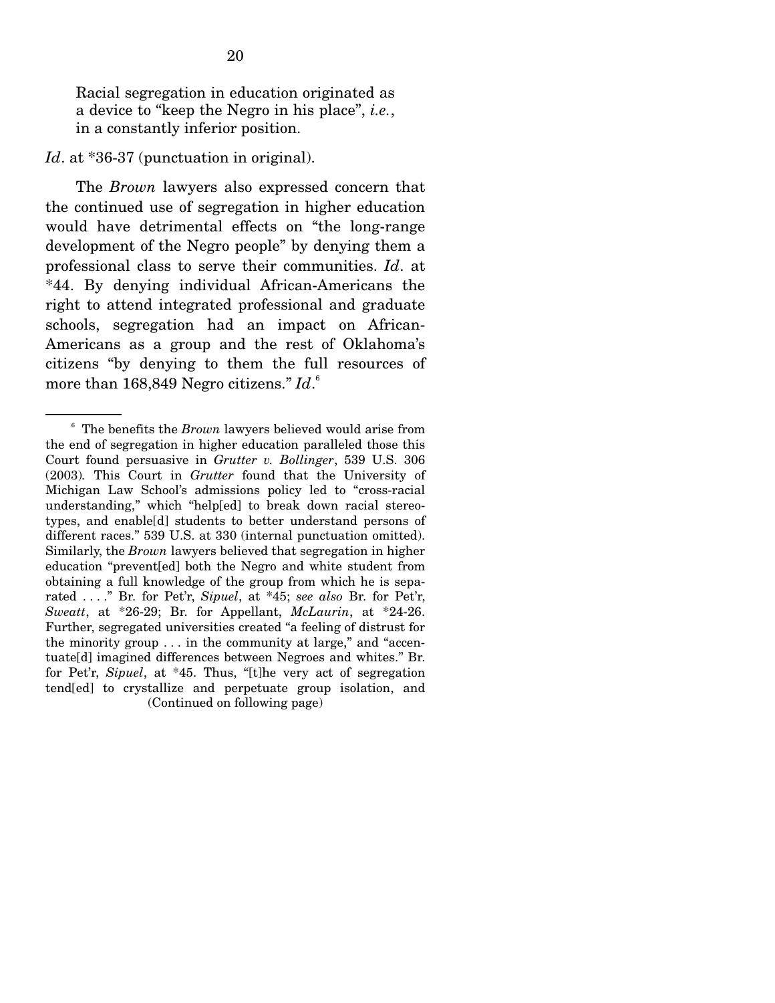Racial segregation in education originated as a device to "keep the Negro in his place", *i.e.*, in a constantly inferior position.

*Id*. at \*36-37 (punctuation in original).

 The *Brown* lawyers also expressed concern that the continued use of segregation in higher education would have detrimental effects on "the long-range development of the Negro people" by denying them a professional class to serve their communities. *Id*. at \*44. By denying individual African-Americans the right to attend integrated professional and graduate schools, segregation had an impact on African-Americans as a group and the rest of Oklahoma's citizens "by denying to them the full resources of more than 168,849 Negro citizens." *Id*. 6

<sup>6</sup> The benefits the *Brown* lawyers believed would arise from the end of segregation in higher education paralleled those this Court found persuasive in *Grutter v. Bollinger*, 539 U.S. 306 (2003)*.* This Court in *Grutter* found that the University of Michigan Law School's admissions policy led to "cross-racial understanding," which "help[ed] to break down racial stereotypes, and enable[d] students to better understand persons of different races." 539 U.S. at 330 (internal punctuation omitted). Similarly, the *Brown* lawyers believed that segregation in higher education "prevent[ed] both the Negro and white student from obtaining a full knowledge of the group from which he is separated . . . ." Br. for Pet'r, *Sipuel*, at \*45; *see also* Br. for Pet'r, *Sweatt*, at \*26-29; Br. for Appellant, *McLaurin*, at \*24-26. Further, segregated universities created "a feeling of distrust for the minority group . . . in the community at large," and "accentuate[d] imagined differences between Negroes and whites." Br. for Pet'r, *Sipuel*, at \*45. Thus, "[t]he very act of segregation tend[ed] to crystallize and perpetuate group isolation, and (Continued on following page)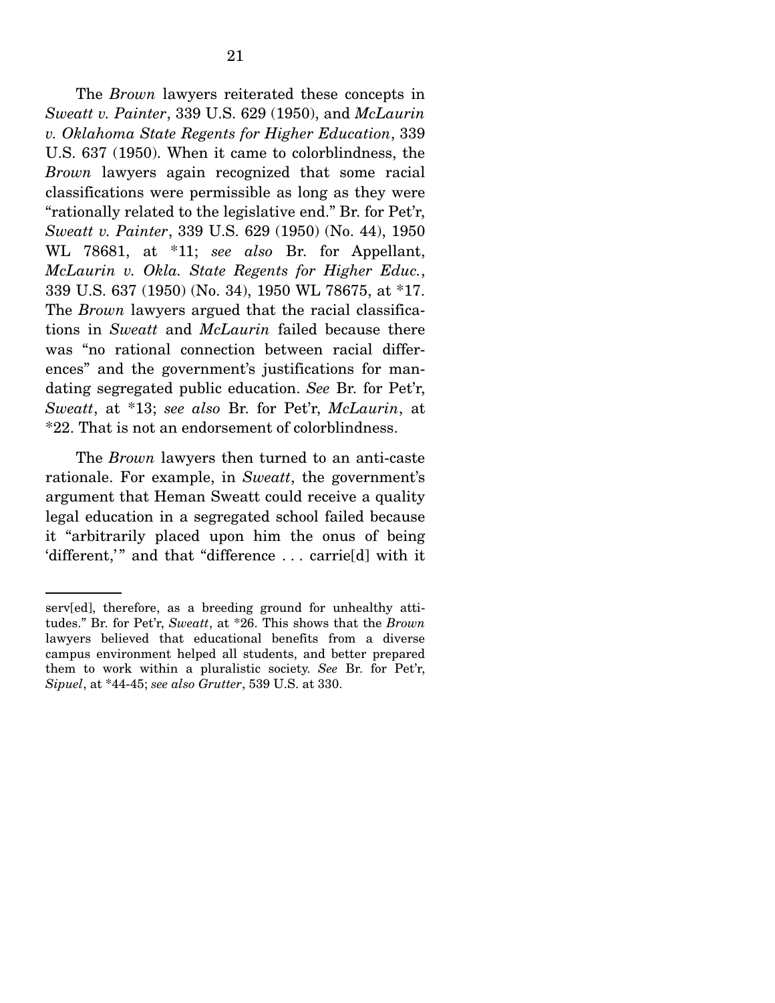The *Brown* lawyers reiterated these concepts in *Sweatt v. Painter*, 339 U.S. 629 (1950), and *McLaurin v. Oklahoma State Regents for Higher Education*, 339 U.S. 637 (1950). When it came to colorblindness, the *Brown* lawyers again recognized that some racial classifications were permissible as long as they were "rationally related to the legislative end." Br. for Pet'r, *Sweatt v. Painter*, 339 U.S. 629 (1950) (No. 44), 1950 WL 78681, at \*11; *see also* Br. for Appellant, *McLaurin v. Okla. State Regents for Higher Educ.*, 339 U.S. 637 (1950) (No. 34), 1950 WL 78675, at \*17. The *Brown* lawyers argued that the racial classifications in *Sweatt* and *McLaurin* failed because there was "no rational connection between racial differences" and the government's justifications for mandating segregated public education. *See* Br. for Pet'r, *Sweatt*, at \*13; *see also* Br. for Pet'r, *McLaurin*, at \*22. That is not an endorsement of colorblindness.

 The *Brown* lawyers then turned to an anti-caste rationale. For example, in *Sweatt*, the government's argument that Heman Sweatt could receive a quality legal education in a segregated school failed because it "arbitrarily placed upon him the onus of being 'different,'" and that "difference ... carrie[d] with it

serv[ed], therefore, as a breeding ground for unhealthy attitudes." Br. for Pet'r, *Sweatt*, at \*26. This shows that the *Brown*  lawyers believed that educational benefits from a diverse campus environment helped all students, and better prepared them to work within a pluralistic society. *See* Br. for Pet'r, *Sipuel*, at \*44-45; *see also Grutter*, 539 U.S. at 330.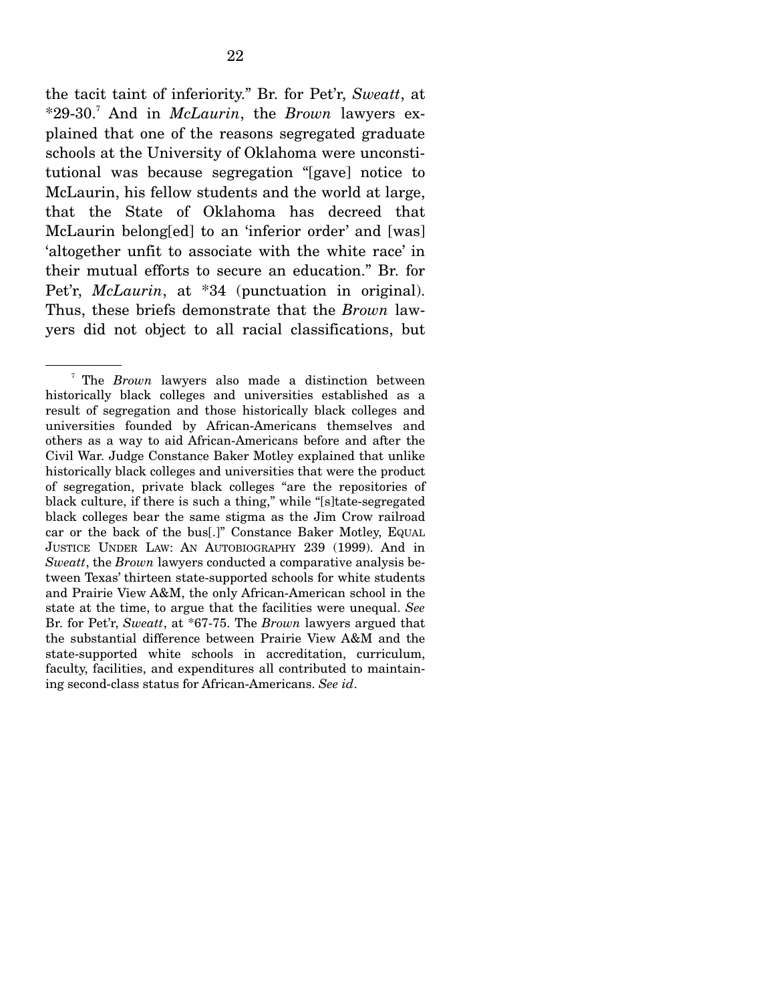the tacit taint of inferiority." Br. for Pet'r, *Sweatt*, at \*29-30.<sup>7</sup> And in *McLaurin*, the *Brown* lawyers explained that one of the reasons segregated graduate schools at the University of Oklahoma were unconstitutional was because segregation "[gave] notice to McLaurin, his fellow students and the world at large, that the State of Oklahoma has decreed that McLaurin belong[ed] to an 'inferior order' and [was] 'altogether unfit to associate with the white race' in their mutual efforts to secure an education." Br. for Pet'r, *McLaurin*, at \*34 (punctuation in original). Thus, these briefs demonstrate that the *Brown* lawyers did not object to all racial classifications, but

<sup>&</sup>lt;sup>7</sup> The *Brown* lawyers also made a distinction between historically black colleges and universities established as a result of segregation and those historically black colleges and universities founded by African-Americans themselves and others as a way to aid African-Americans before and after the Civil War. Judge Constance Baker Motley explained that unlike historically black colleges and universities that were the product of segregation, private black colleges "are the repositories of black culture, if there is such a thing," while "[s]tate-segregated black colleges bear the same stigma as the Jim Crow railroad car or the back of the bus[.]" Constance Baker Motley, EQUAL JUSTICE UNDER LAW: AN AUTOBIOGRAPHY 239 (1999). And in *Sweatt*, the *Brown* lawyers conducted a comparative analysis between Texas' thirteen state-supported schools for white students and Prairie View A&M, the only African-American school in the state at the time, to argue that the facilities were unequal. *See*  Br. for Pet'r, *Sweatt*, at \*67-75. The *Brown* lawyers argued that the substantial difference between Prairie View A&M and the state-supported white schools in accreditation, curriculum, faculty, facilities, and expenditures all contributed to maintaining second-class status for African-Americans. *See id*.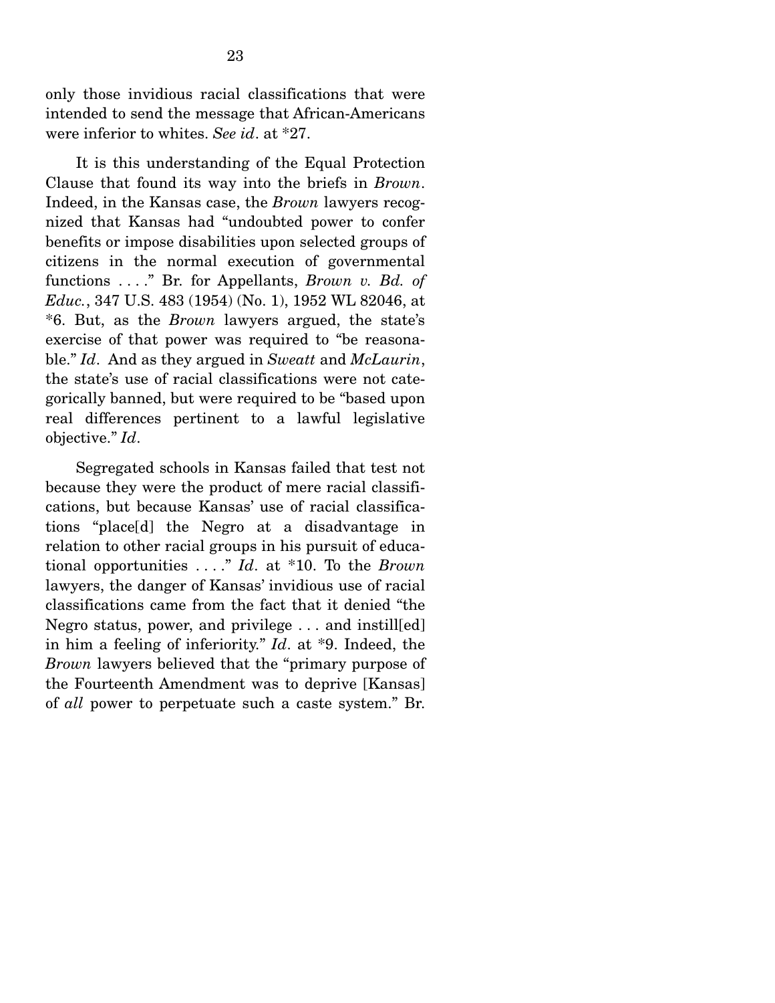only those invidious racial classifications that were intended to send the message that African-Americans were inferior to whites. *See id*. at \*27.

 It is this understanding of the Equal Protection Clause that found its way into the briefs in *Brown*. Indeed, in the Kansas case, the *Brown* lawyers recognized that Kansas had "undoubted power to confer benefits or impose disabilities upon selected groups of citizens in the normal execution of governmental functions . . . ." Br. for Appellants, *Brown v. Bd. of Educ.*, 347 U.S. 483 (1954) (No. 1), 1952 WL 82046, at \*6. But, as the *Brown* lawyers argued, the state's exercise of that power was required to "be reasonable." *Id*. And as they argued in *Sweatt* and *McLaurin*, the state's use of racial classifications were not categorically banned, but were required to be "based upon real differences pertinent to a lawful legislative objective." *Id*.

 Segregated schools in Kansas failed that test not because they were the product of mere racial classifications, but because Kansas' use of racial classifications "place[d] the Negro at a disadvantage in relation to other racial groups in his pursuit of educational opportunities . . . ." *Id*. at \*10. To the *Brown*  lawyers, the danger of Kansas' invidious use of racial classifications came from the fact that it denied "the Negro status, power, and privilege ... and instill[ed] in him a feeling of inferiority." *Id*. at \*9. Indeed, the *Brown* lawyers believed that the "primary purpose of the Fourteenth Amendment was to deprive [Kansas] of *all* power to perpetuate such a caste system." Br.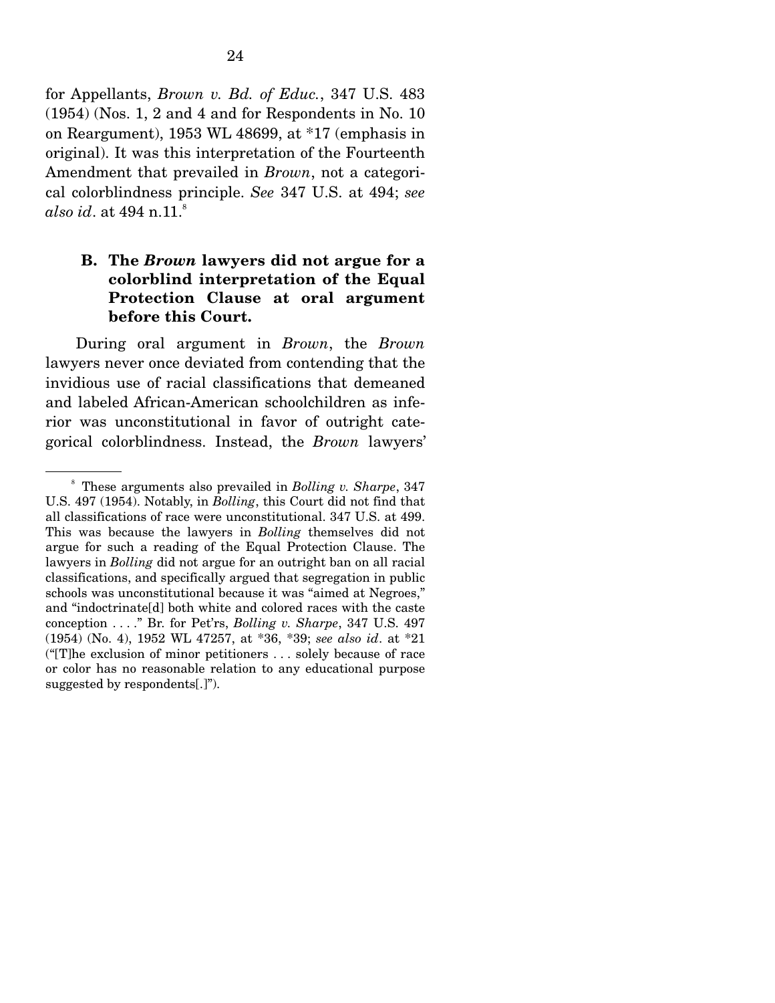for Appellants, *Brown v. Bd. of Educ.*, 347 U.S. 483 (1954) (Nos. 1, 2 and 4 and for Respondents in No. 10 on Reargument), 1953 WL 48699, at \*17 (emphasis in original). It was this interpretation of the Fourteenth Amendment that prevailed in *Brown*, not a categorical colorblindness principle. *See* 347 U.S. at 494; *see*   $also\ id.$  at  $494$  n. $11.^\mathrm{s}$ 

#### **B. The** *Brown* **lawyers did not argue for a colorblind interpretation of the Equal Protection Clause at oral argument before this Court.**

 During oral argument in *Brown*, the *Brown*  lawyers never once deviated from contending that the invidious use of racial classifications that demeaned and labeled African-American schoolchildren as inferior was unconstitutional in favor of outright categorical colorblindness. Instead, the *Brown* lawyers'

<sup>8</sup> These arguments also prevailed in *Bolling v. Sharpe*, 347 U.S. 497 (1954). Notably, in *Bolling*, this Court did not find that all classifications of race were unconstitutional. 347 U.S. at 499. This was because the lawyers in *Bolling* themselves did not argue for such a reading of the Equal Protection Clause. The lawyers in *Bolling* did not argue for an outright ban on all racial classifications, and specifically argued that segregation in public schools was unconstitutional because it was "aimed at Negroes," and "indoctrinate[d] both white and colored races with the caste conception . . . ." Br. for Pet'rs, *Bolling v. Sharpe*, 347 U.S. 497 (1954) (No. 4), 1952 WL 47257, at \*36, \*39; *see also id*. at \*21 ("[T]he exclusion of minor petitioners . . . solely because of race or color has no reasonable relation to any educational purpose suggested by respondents[.]").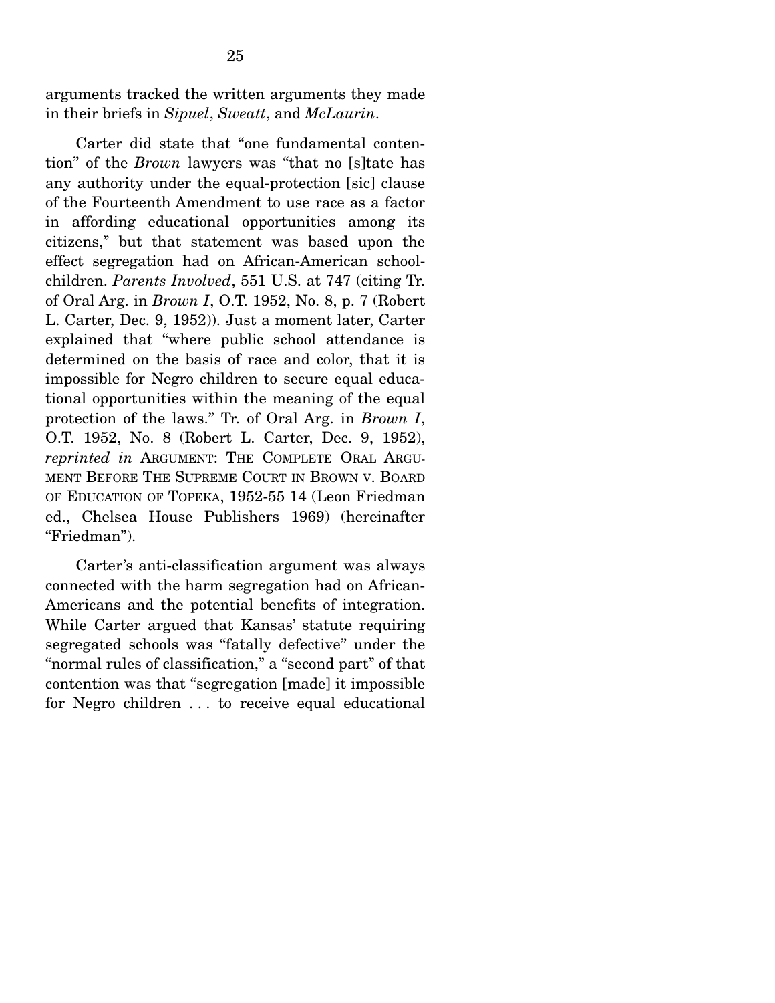arguments tracked the written arguments they made in their briefs in *Sipuel*, *Sweatt*, and *McLaurin*.

 Carter did state that "one fundamental contention" of the *Brown* lawyers was "that no [s]tate has any authority under the equal-protection [sic] clause of the Fourteenth Amendment to use race as a factor in affording educational opportunities among its citizens," but that statement was based upon the effect segregation had on African-American schoolchildren. *Parents Involved*, 551 U.S. at 747 (citing Tr. of Oral Arg. in *Brown I*, O.T. 1952, No. 8, p. 7 (Robert L. Carter, Dec. 9, 1952)). Just a moment later, Carter explained that "where public school attendance is determined on the basis of race and color, that it is impossible for Negro children to secure equal educational opportunities within the meaning of the equal protection of the laws." Tr. of Oral Arg. in *Brown I*, O.T. 1952, No. 8 (Robert L. Carter, Dec. 9, 1952), *reprinted in* ARGUMENT: THE COMPLETE ORAL ARGU-MENT BEFORE THE SUPREME COURT IN BROWN V. BOARD OF EDUCATION OF TOPEKA, 1952-55 14 (Leon Friedman ed., Chelsea House Publishers 1969) (hereinafter "Friedman").

 Carter's anti-classification argument was always connected with the harm segregation had on African-Americans and the potential benefits of integration. While Carter argued that Kansas' statute requiring segregated schools was "fatally defective" under the "normal rules of classification," a "second part" of that contention was that "segregation [made] it impossible for Negro children . . . to receive equal educational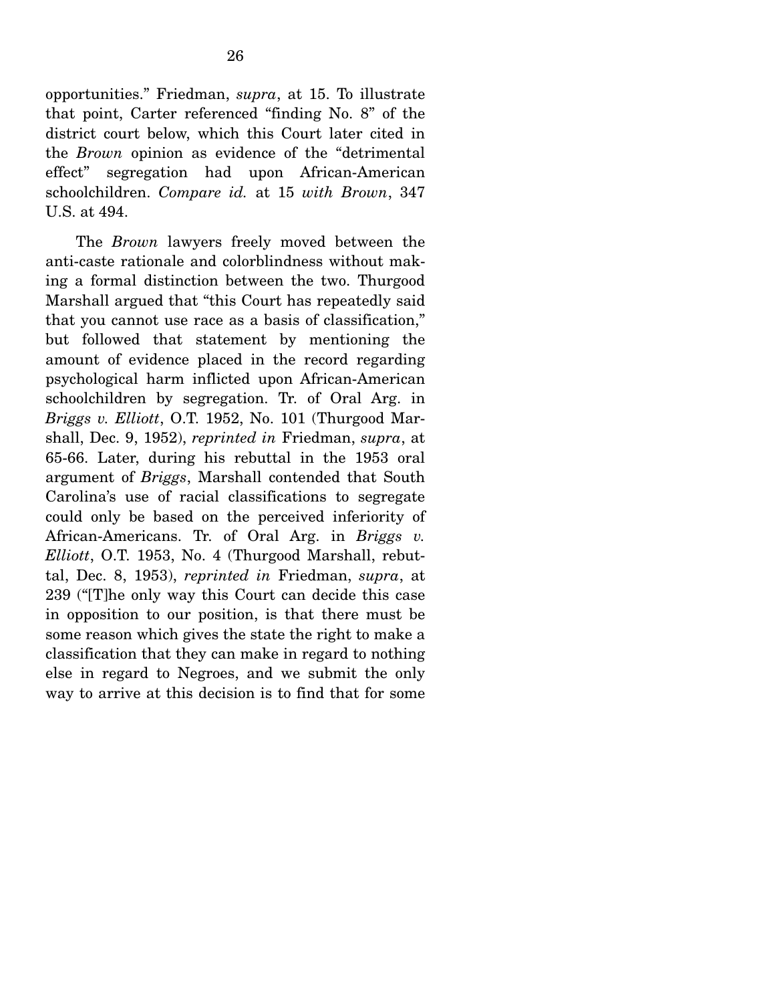opportunities." Friedman, *supra*, at 15. To illustrate that point, Carter referenced "finding No. 8" of the district court below, which this Court later cited in the *Brown* opinion as evidence of the "detrimental effect" segregation had upon African-American schoolchildren. *Compare id.* at 15 *with Brown*, 347 U.S. at 494.

 The *Brown* lawyers freely moved between the anti-caste rationale and colorblindness without making a formal distinction between the two. Thurgood Marshall argued that "this Court has repeatedly said that you cannot use race as a basis of classification," but followed that statement by mentioning the amount of evidence placed in the record regarding psychological harm inflicted upon African-American schoolchildren by segregation. Tr. of Oral Arg. in *Briggs v. Elliott*, O.T. 1952, No. 101 (Thurgood Marshall, Dec. 9, 1952), *reprinted in* Friedman, *supra*, at 65-66. Later, during his rebuttal in the 1953 oral argument of *Briggs*, Marshall contended that South Carolina's use of racial classifications to segregate could only be based on the perceived inferiority of African-Americans. Tr. of Oral Arg. in *Briggs v. Elliott*, O.T. 1953, No. 4 (Thurgood Marshall, rebuttal, Dec. 8, 1953), *reprinted in* Friedman, *supra*, at 239 ("[T]he only way this Court can decide this case in opposition to our position, is that there must be some reason which gives the state the right to make a classification that they can make in regard to nothing else in regard to Negroes, and we submit the only way to arrive at this decision is to find that for some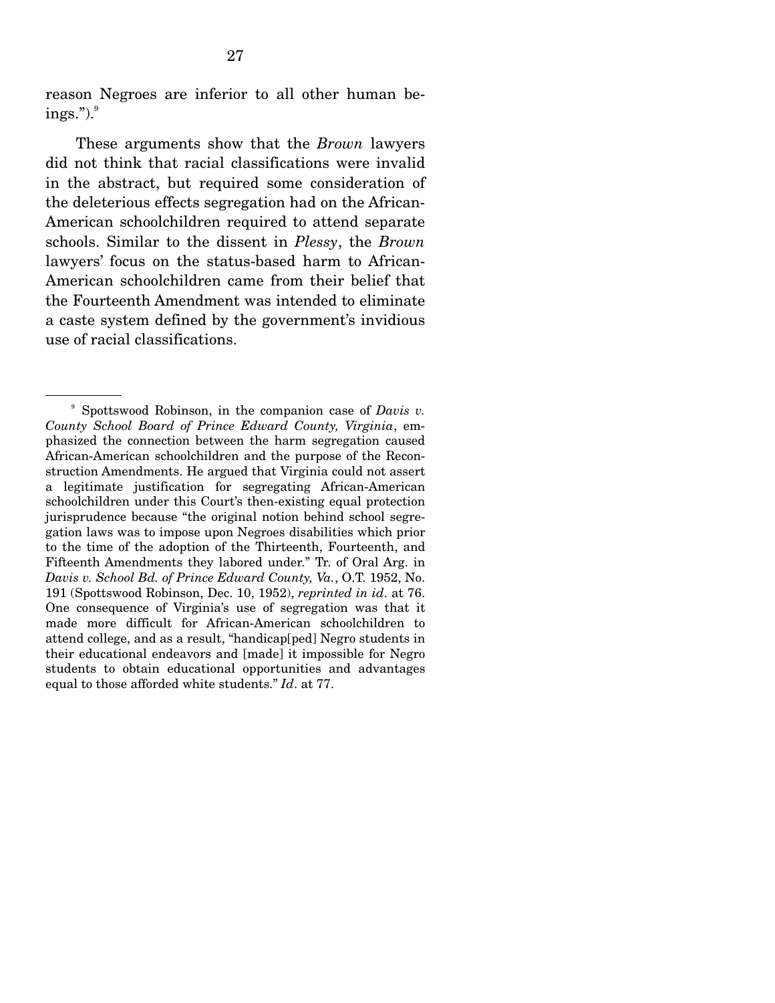reason Negroes are inferior to all other human be $ings.'')$ . $^{9}$ 

 These arguments show that the *Brown* lawyers did not think that racial classifications were invalid in the abstract, but required some consideration of the deleterious effects segregation had on the African-American schoolchildren required to attend separate schools. Similar to the dissent in *Plessy*, the *Brown*  lawyers' focus on the status-based harm to African-American schoolchildren came from their belief that the Fourteenth Amendment was intended to eliminate a caste system defined by the government's invidious use of racial classifications.

<sup>9</sup> Spottswood Robinson, in the companion case of *Davis v. County School Board of Prince Edward County, Virginia*, emphasized the connection between the harm segregation caused African-American schoolchildren and the purpose of the Reconstruction Amendments. He argued that Virginia could not assert a legitimate justification for segregating African-American schoolchildren under this Court's then-existing equal protection jurisprudence because "the original notion behind school segregation laws was to impose upon Negroes disabilities which prior to the time of the adoption of the Thirteenth, Fourteenth, and Fifteenth Amendments they labored under." Tr. of Oral Arg. in *Davis v. School Bd. of Prince Edward County, Va.*, O.T. 1952, No. 191 (Spottswood Robinson, Dec. 10, 1952), *reprinted in id*. at 76. One consequence of Virginia's use of segregation was that it made more difficult for African-American schoolchildren to attend college, and as a result, "handicap[ped] Negro students in their educational endeavors and [made] it impossible for Negro students to obtain educational opportunities and advantages equal to those afforded white students." *Id*. at 77.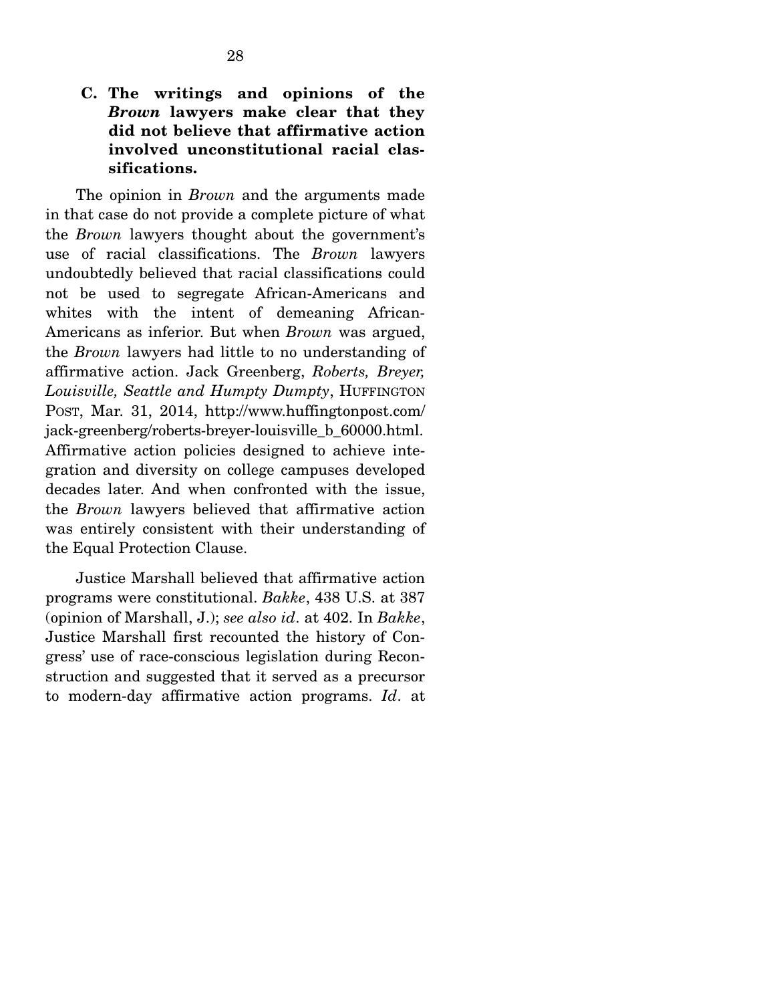### **C. The writings and opinions of the**  *Brown* **lawyers make clear that they did not believe that affirmative action involved unconstitutional racial classifications.**

 The opinion in *Brown* and the arguments made in that case do not provide a complete picture of what the *Brown* lawyers thought about the government's use of racial classifications. The *Brown* lawyers undoubtedly believed that racial classifications could not be used to segregate African-Americans and whites with the intent of demeaning African-Americans as inferior. But when *Brown* was argued, the *Brown* lawyers had little to no understanding of affirmative action. Jack Greenberg, *Roberts, Breyer, Louisville, Seattle and Humpty Dumpty*, HUFFINGTON POST, Mar. 31, 2014, http://www.huffingtonpost.com/ jack-greenberg/roberts-breyer-louisville\_b\_60000.html. Affirmative action policies designed to achieve integration and diversity on college campuses developed decades later. And when confronted with the issue, the *Brown* lawyers believed that affirmative action was entirely consistent with their understanding of the Equal Protection Clause.

 Justice Marshall believed that affirmative action programs were constitutional. *Bakke*, 438 U.S. at 387 (opinion of Marshall, J.); *see also id*. at 402. In *Bakke*, Justice Marshall first recounted the history of Congress' use of race-conscious legislation during Reconstruction and suggested that it served as a precursor to modern-day affirmative action programs. *Id*. at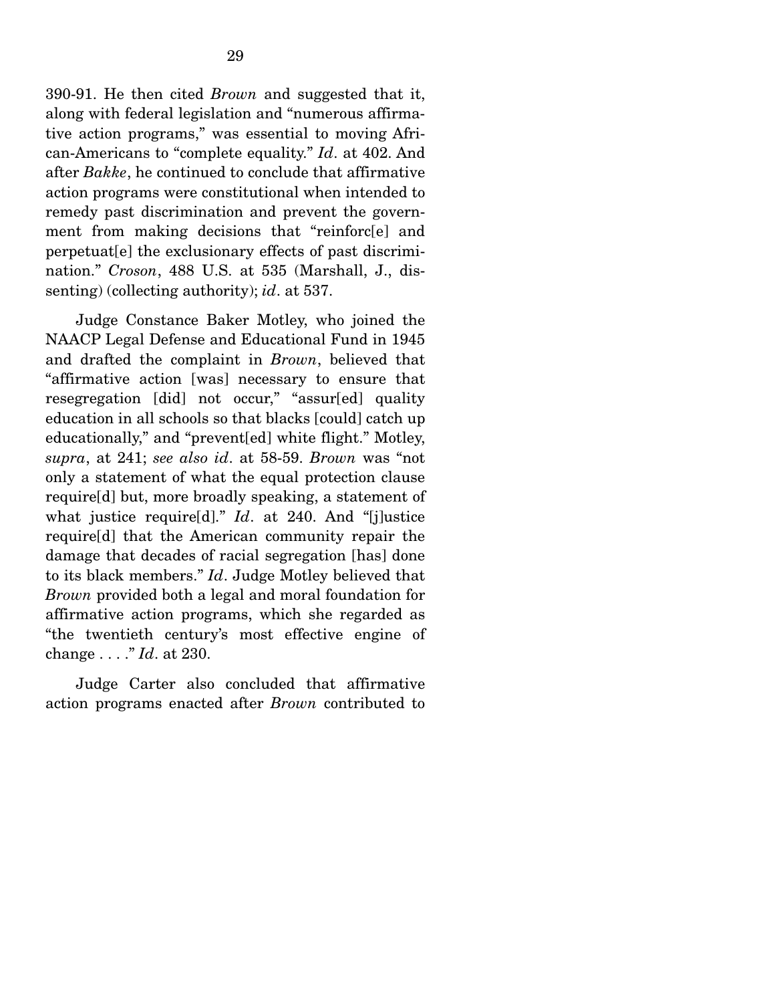390-91. He then cited *Brown* and suggested that it, along with federal legislation and "numerous affirmative action programs," was essential to moving African-Americans to "complete equality." *Id*. at 402. And after *Bakke*, he continued to conclude that affirmative action programs were constitutional when intended to remedy past discrimination and prevent the government from making decisions that "reinforc[e] and perpetuat[e] the exclusionary effects of past discrimination." *Croson*, 488 U.S. at 535 (Marshall, J., dissenting) (collecting authority); *id*. at 537.

 Judge Constance Baker Motley, who joined the NAACP Legal Defense and Educational Fund in 1945 and drafted the complaint in *Brown*, believed that "affirmative action [was] necessary to ensure that resegregation [did] not occur," "assur[ed] quality education in all schools so that blacks [could] catch up educationally," and "prevent[ed] white flight." Motley, *supra*, at 241; *see also id*. at 58-59. *Brown* was "not only a statement of what the equal protection clause require[d] but, more broadly speaking, a statement of what justice require[d]." *Id*. at 240. And "[j]ustice require[d] that the American community repair the damage that decades of racial segregation [has] done to its black members." *Id*. Judge Motley believed that *Brown* provided both a legal and moral foundation for affirmative action programs, which she regarded as "the twentieth century's most effective engine of change . . . ." *Id*. at 230.

 Judge Carter also concluded that affirmative action programs enacted after *Brown* contributed to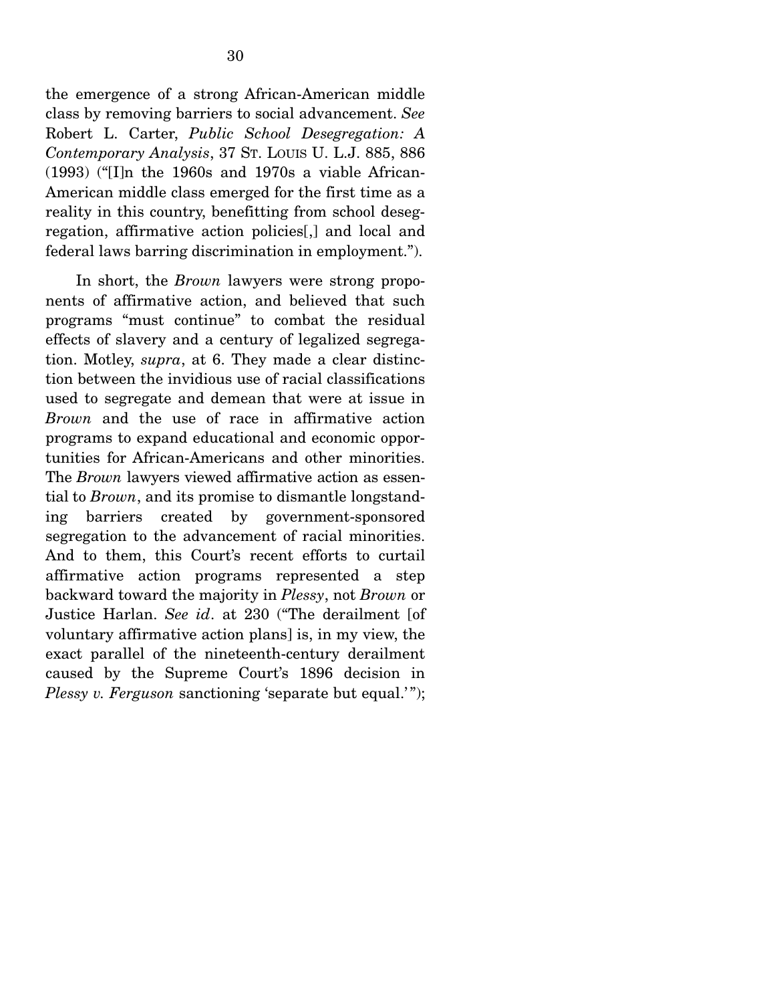the emergence of a strong African-American middle class by removing barriers to social advancement. *See*  Robert L. Carter, *Public School Desegregation: A Contemporary Analysis*, 37 ST. LOUIS U. L.J. 885, 886 (1993) ("[I]n the 1960s and 1970s a viable African-American middle class emerged for the first time as a reality in this country, benefitting from school desegregation, affirmative action policies[,] and local and federal laws barring discrimination in employment.").

 In short, the *Brown* lawyers were strong proponents of affirmative action, and believed that such programs "must continue" to combat the residual effects of slavery and a century of legalized segregation. Motley, *supra*, at 6. They made a clear distinction between the invidious use of racial classifications used to segregate and demean that were at issue in *Brown* and the use of race in affirmative action programs to expand educational and economic opportunities for African-Americans and other minorities. The *Brown* lawyers viewed affirmative action as essential to *Brown*, and its promise to dismantle longstanding barriers created by government-sponsored segregation to the advancement of racial minorities. And to them, this Court's recent efforts to curtail affirmative action programs represented a step backward toward the majority in *Plessy*, not *Brown* or Justice Harlan. *See id*. at 230 ("The derailment [of voluntary affirmative action plans] is, in my view, the exact parallel of the nineteenth-century derailment caused by the Supreme Court's 1896 decision in *Plessy v. Ferguson* sanctioning 'separate but equal.'");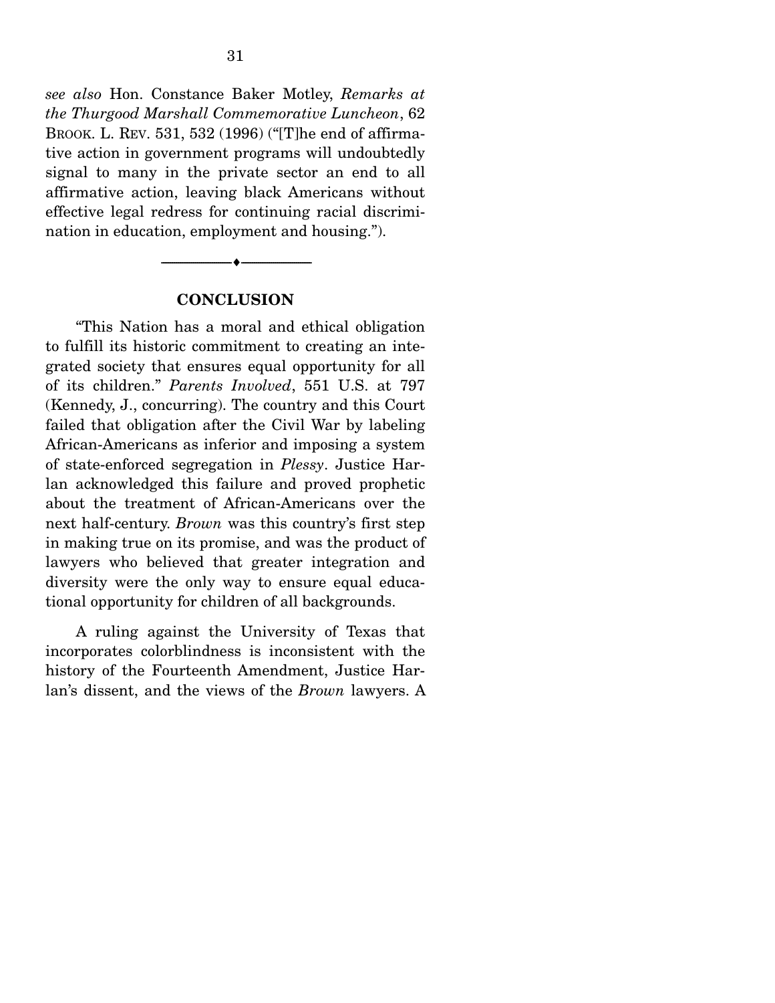*see also* Hon. Constance Baker Motley, *Remarks at the Thurgood Marshall Commemorative Luncheon*, 62 BROOK. L. REV. 531, 532 (1996) ("[T]he end of affirmative action in government programs will undoubtedly signal to many in the private sector an end to all affirmative action, leaving black Americans without effective legal redress for continuing racial discrimination in education, employment and housing.").

### **CONCLUSION**

--------------------------------- ---------------------------------

 "This Nation has a moral and ethical obligation to fulfill its historic commitment to creating an integrated society that ensures equal opportunity for all of its children." *Parents Involved*, 551 U.S. at 797 (Kennedy, J., concurring). The country and this Court failed that obligation after the Civil War by labeling African-Americans as inferior and imposing a system of state-enforced segregation in *Plessy*. Justice Harlan acknowledged this failure and proved prophetic about the treatment of African-Americans over the next half-century. *Brown* was this country's first step in making true on its promise, and was the product of lawyers who believed that greater integration and diversity were the only way to ensure equal educational opportunity for children of all backgrounds.

 A ruling against the University of Texas that incorporates colorblindness is inconsistent with the history of the Fourteenth Amendment, Justice Harlan's dissent, and the views of the *Brown* lawyers. A